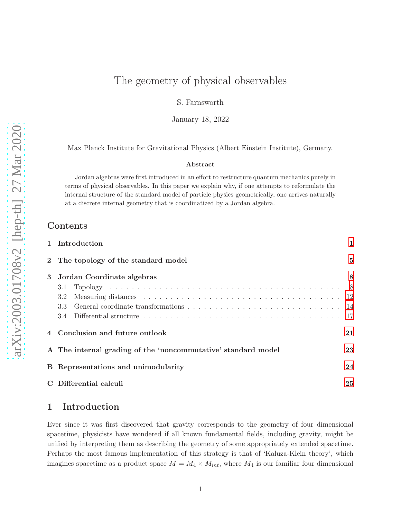# The geometry of physical observables

S. Farnsworth

January 18, 2022

Max Planck Institute for Gravitational Physics (Albert Einstein Institute), Germany.

#### Abstract

Jordan algebras were first introduced in an effort to restructure quantum mechanics purely in terms of physical observables. In this paper we explain why, if one attempts to reformulate the internal structure of the standard model of particle physics geometrically, one arrives naturally at a discrete internal geometry that is coordinatized by a Jordan algebra.

# Contents

|   | 1 Introduction                                                | 1              |
|---|---------------------------------------------------------------|----------------|
|   | 2 The topology of the standard model                          | $\overline{5}$ |
| 3 | Jordan Coordinate algebras                                    | 8              |
|   | 3.1                                                           |                |
|   | 3.2                                                           |                |
|   | 3.3                                                           |                |
|   |                                                               |                |
|   | Conclusion and future outlook                                 | 21             |
|   | A The internal grading of the 'noncommutative' standard model | 23             |
|   | B Representations and unimodularity                           | 24             |
|   | C Differential calculi                                        | 25             |

# <span id="page-0-0"></span>1 Introduction

Ever since it was first discovered that gravity corresponds to the geometry of four dimensional spacetime, physicists have wondered if all known fundamental fields, including gravity, might be unified by interpreting them as describing the geometry of some appropriately extended spacetime. Perhaps the most famous implementation of this strategy is that of 'Kaluza-Klein theory', which imagines spacetime as a product space  $M = M_4 \times M_{int}$ , where  $M_4$  is our familiar four dimensional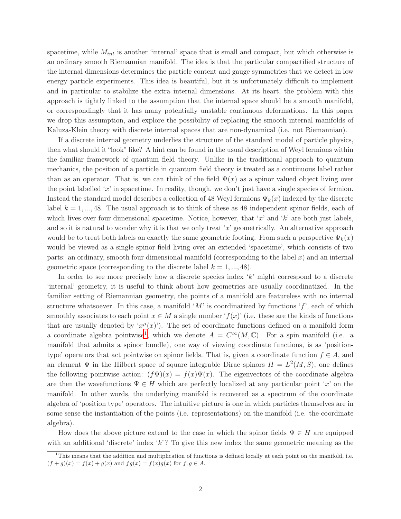spacetime, while  $M_{int}$  is another 'internal' space that is small and compact, but which otherwise is an ordinary smooth Riemannian manifold. The idea is that the particular compactified structure of the internal dimensions determines the particle content and gauge symmetries that we detect in low energy particle experiments. This idea is beautiful, but it is unfortunately difficult to implement and in particular to stabilize the extra internal dimensions. At its heart, the problem with this approach is tightly linked to the assumption that the internal space should be a smooth manifold, or correspondingly that it has many potentially unstable continuous deformations. In this paper we drop this assumption, and explore the possibility of replacing the smooth internal manifolds of Kaluza-Klein theory with discrete internal spaces that are non-dynamical (i.e. not Riemannian).

If a discrete internal geometry underlies the structure of the standard model of particle physics, then what should it "look" like? A hint can be found in the usual description of Weyl fermions within the familiar framework of quantum field theory. Unlike in the traditional approach to quantum mechanics, the position of a particle in quantum field theory is treated as a continuous label rather than as an operator. That is, we can think of the field  $\Psi(x)$  as a spinor valued object living over the point labelled 'x' in spacetime. In reality, though, we don't just have a single species of fermion. Instead the standard model describes a collection of 48 Weyl fermions  $\Psi_k(x)$  indexed by the discrete label  $k = 1, ..., 48$ . The usual approach is to think of these as 48 independent spinor fields, each of which lives over four dimensional spacetime. Notice, however, that 'x' and 'k' are both just labels, and so it is natural to wonder why it is that we only treat 'x' geometrically. An alternative approach would be to treat both labels on exactly the same geometric footing. From such a perspective  $\Psi_k(x)$ would be viewed as a single spinor field living over an extended 'spacetime', which consists of two parts: an ordinary, smooth four dimensional manifold (corresponding to the label  $x$ ) and an internal geometric space (corresponding to the discrete label  $k = 1, ..., 48$ ).

In order to see more precisely how a discrete species index 'k' might correspond to a discrete 'internal' geometry, it is useful to think about how geometries are usually coordinatized. In the familiar setting of Riemannian geometry, the points of a manifold are featureless with no internal structure whatsoever. In this case, a manifold 'M' is coordinatized by functions ' $f'$ , each of which smoothly associates to each point  $x \in M$  a single number ' $f(x)$ ' (i.e. these are the kinds of functions that are usually denoted by ' $x^{\mu}(x)$ '). The set of coordinate functions defined on a manifold form a coordinate algebra pointwise<sup>[1](#page-1-0)</sup>, which we denote  $A = C^{\infty}(M, \mathbb{C})$ . For a spin manifold (i.e. a manifold that admits a spinor bundle), one way of viewing coordinate functions, is as 'positiontype' operators that act pointwise on spinor fields. That is, given a coordinate function  $f \in A$ , and an element  $\Psi$  in the Hilbert space of square integrable Dirac spinors  $H = L^2(M, S)$ , one defines the following pointwise action:  $(f\Psi)(x) = f(x)\Psi(x)$ . The eigenvectors of the coordinate algebra are then the wavefunctions  $\Psi \in H$  which are perfectly localized at any particular point 'x' on the manifold. In other words, the underlying manifold is recovered as a spectrum of the coordinate algebra of 'position type' operators. The intuitive picture is one in which particles themselves are in some sense the instantiation of the points (i.e. representations) on the manifold (i.e. the coordinate algebra).

How does the above picture extend to the case in which the spinor fields  $\Psi \in H$  are equipped with an additional 'discrete' index 'k'? To give this new index the same geometric meaning as the

<span id="page-1-0"></span> $1$ This means that the addition and multiplication of functions is defined locally at each point on the manifold, i.e.  $(f + g)(x) = f(x) + g(x)$  and  $fg(x) = f(x)g(x)$  for  $f, g \in A$ .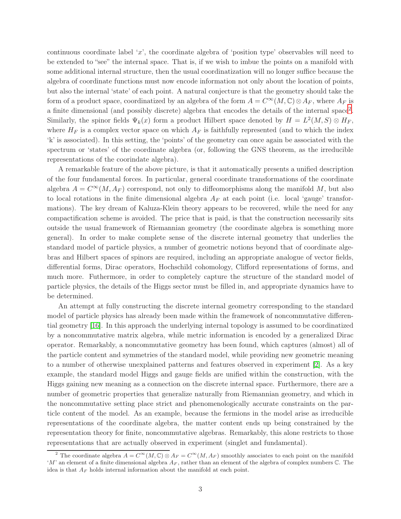continuous coordinate label 'x', the coordinate algebra of 'position type' observables will need to be extended to "see" the internal space. That is, if we wish to imbue the points on a manifold with some additional internal structure, then the usual coordinatization will no longer suffice because the algebra of coordinate functions must now encode information not only about the location of points, but also the internal 'state' of each point. A natural conjecture is that the geometry should take the form of a product space, coordinatized by an algebra of the form  $A = C^{\infty}(M, \mathbb{C}) \otimes A_F$ , where  $A_F$  is a finite dimensional (and possibly discrete) algebra that encodes the details of the internal space<sup>[2](#page-2-0)</sup>. Similarly, the spinor fields  $\Psi_k(x)$  form a product Hilbert space denoted by  $H = L^2(M, S) \otimes H_F$ , where  $H_F$  is a complex vector space on which  $A_F$  is faithfully represented (and to which the index 'k' is associated). In this setting, the 'points' of the geometry can once again be associated with the spectrum or 'states' of the coordinate algebra (or, following the GNS theorem, as the irreducible representations of the coorindate algebra).

A remarkable feature of the above picture, is that it automatically presents a unified description of the four fundamental forces. In particular, general coordinate transformations of the coordinate algebra  $A = C^{\infty}(M, A_F)$  correspond, not only to diffeomorphisms along the manifold M, but also to local rotations in the finite dimensional algebra  $A_F$  at each point (i.e. local 'gauge' transformations). The key dream of Kaluza-Klein theory appears to be recovered, while the need for any compactification scheme is avoided. The price that is paid, is that the construction necessarily sits outside the usual framework of Riemannian geometry (the coordinate algebra is something more general). In order to make complete sense of the discrete internal geometry that underlies the standard model of particle physics, a number of geometric notions beyond that of coordinate algebras and Hilbert spaces of spinors are required, including an appropriate analogue of vector fields, differential forms, Dirac operators, Hochschild cohomology, Clifford representations of forms, and much more. Futhermore, in order to completely capture the structure of the standard model of particle physics, the details of the Higgs sector must be filled in, and appropriate dynamics have to be determined.

An attempt at fully constructing the discrete internal geometry corresponding to the standard model of particle physics has already been made within the framework of noncommutative differential geometry [\[16\]](#page-29-0). In this approach the underlying internal topology is assumed to be coordinatized by a noncommutative matrix algebra, while metric information is encoded by a generalized Dirac operator. Remarkably, a noncommutative geometry has been found, which captures (almost) all of the particle content and symmetries of the standard model, while providing new geometric meaning to a number of otherwise unexplained patterns and features observed in experiment [\[2\]](#page-28-0). As a key example, the standard model Higgs and gauge fields are unified within the construction, with the Higgs gaining new meaning as a connection on the discrete internal space. Furthermore, there are a number of geometric properties that generalize naturally from Riemannian geometry, and which in the noncommutative setting place strict and phenomenologically accurate constraints on the particle content of the model. As an example, because the fermions in the model arise as irreducible representations of the coordinate algebra, the matter content ends up being constrained by the representation theory for finite, noncommutative algebras. Remarkably, this alone restricts to those representations that are actually observed in experiment (singlet and fundamental).

<span id="page-2-0"></span><sup>&</sup>lt;sup>2</sup> The coordinate algebra  $A = C^{\infty}(M, \mathbb{C}) \otimes A_F = C^{\infty}(M, A_F)$  smoothly associates to each point on the manifold 'M' an element of a finite dimensional algebra  $A_F$ , rather than an element of the algebra of complex numbers  $\mathbb{C}$ . The idea is that  $A_F$  holds internal information about the manifold at each point.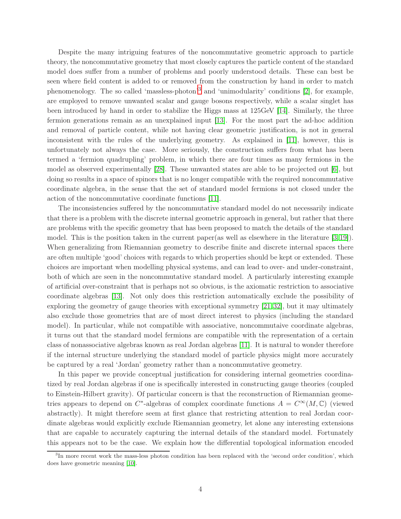Despite the many intriguing features of the noncommutative geometric approach to particle theory, the noncommutative geometry that most closely captures the particle content of the standard model does suffer from a number of problems and poorly understood details. These can best be seen where field content is added to or removed from the construction by hand in order to match phenomenology. The so called 'massless-photon'[3](#page-3-0) and 'unimodularity' conditions [\[2\]](#page-28-0), for example, are employed to remove unwanted scalar and gauge bosons respectively, while a scalar singlet has been introduced by hand in order to stabilize the Higgs mass at 125GeV [\[14\]](#page-29-1). Similarly, the three fermion generations remain as an unexplained input [\[13\]](#page-29-2). For the most part the ad-hoc addition and removal of particle content, while not having clear geometric justification, is not in general inconsistent with the rules of the underlying geometry. As explained in [\[11\]](#page-28-1), however, this is unfortunately not always the case. More seriously, the construction suffers from what has been termed a 'fermion quadrupling' problem, in which there are four times as many fermions in the model as observed experimentally [\[28\]](#page-29-3). These unwanted states are able to be projected out [\[6\]](#page-28-2), but doing so results in a space of spinors that is no longer compatible with the required noncommutative coordinate algebra, in the sense that the set of standard model fermions is not closed under the action of the noncommutative coordinate functions [\[11\]](#page-28-1).

The inconsistencies suffered by the noncommutative standard model do not necessarily indicate that there is a problem with the discrete internal geometric approach in general, but rather that there are problems with the specific geometry that has been proposed to match the details of the standard model. This is the position taken in the current paper(as well as elsewhere in the literature [\[3,](#page-28-3)[19\]](#page-29-4)). When generalizing from Riemannian geometry to describe finite and discrete internal spaces there are often multiple 'good' choices with regards to which properties should be kept or extended. These choices are important when modelling physical systems, and can lead to over- and under-constraint, both of which are seen in the noncommutative standard model. A particularly interesting example of artificial over-constraint that is perhaps not so obvious, is the axiomatic restriction to associative coordinate algebras [\[13\]](#page-29-2). Not only does this restriction automatically exclude the possibility of exploring the geometry of gauge theories with exceptional symmetry [\[21,](#page-29-5)[32\]](#page-30-0), but it may ultimately also exclude those geometries that are of most direct interest to physics (including the standard model). In particular, while not compatible with associative, noncommutaive coordinate algebras, it turns out that the standard model fermions are compatible with the representation of a certain class of nonassociative algebras known as real Jordan algebras [\[11\]](#page-28-1). It is natural to wonder therefore if the internal structure underlying the standard model of particle physics might more accurately be captured by a real 'Jordan' geometry rather than a noncommutative geometry.

In this paper we provide conceptual justification for considering internal geometries coordinatized by real Jordan algebras if one is specifically interested in constructing gauge theories (coupled to Einstein-Hilbert gravity). Of particular concern is that the reconstruction of Riemannian geometries appears to depend on C<sup>\*</sup>-algebras of complex coordinate functions  $A = C^{\infty}(M, \mathbb{C})$  (viewed abstractly). It might therefore seem at first glance that restricting attention to real Jordan coordinate algebras would explicitly exclude Riemannian geometry, let alone any interesting extensions that are capable to accurately capturing the internal details of the standard model. Fortunately this appears not to be the case. We explain how the differential topological information encoded

<span id="page-3-0"></span><sup>&</sup>lt;sup>3</sup>In more recent work the mass-less photon condition has been replaced with the 'second order condition', which does have geometric meaning [\[10\]](#page-28-4).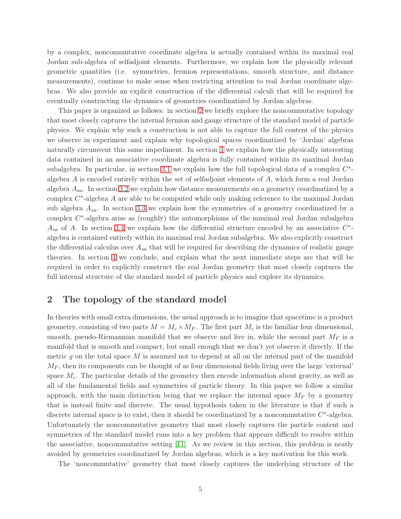by a complex, noncommutative coordinate algebra is actually contained within its maximal real Jordan sub-algebra of selfadjoint elements. Furthermore, we explain how the physically relevant geometric quantities (i.e. symmetries, fermion representations, smooth structure, and distance measurements), continue to make sense when restricting attention to real Jordan coordinate algebras. We also provide an explicit construction of the differential calculi that will be required for eventually constructing the dynamics of geometries coordinatized by Jordan algebras.

This paper is organized as follows: in section [2](#page-4-0) we briefly explore the noncommutative topology that most closely captures the internal fermion and gauge structure of the standard model of particle physics. We explain why such a construction is not able to capture the full content of the physics we observe in experiment and explain why topological spaces coordinatized by 'Jordan' algebras naturally circumvent this same impediment. In section [3](#page-7-0) we explain how the physically interesting data contained in an associative coordinate algebra is fully contained within its maximal Jordan subalgebra. In particular, in section [3.1](#page-7-1) we explain how the full topological data of a complex  $C^*$ algebra A is encoded entirely within the set of selfadjoint elements of A, which form a real Jordan algebra  $A_{sa}$ . In section [3.2](#page-11-0) we explain how distance measurements on a geometry coordinatized by a complex  $C^*$ -algebra A are able to be computed while only making reference to the maximal Jordan sub algebra  $A_{sa}$ . In section [3.3](#page-13-0) we explain how the symmetries of a geometry coordinatized by a complex  $C^*$ -algebra arise as (roughly) the automorphisms of the maximal real Jordan subalgebra  $A_{sa}$  of A. In section [3.4](#page-16-0) we explain how the differential structure encoded by an associative  $C^*$ algebra is contained entirely within its maximal real Jordan subalgebra. We also explicitly construct the differential calculus over  $A_{sa}$  that will be required for describing the dynamics of realistic gauge theories. In section [4](#page-20-0) we conclude, and explain what the next immediate steps are that will be required in order to explicitly construct the real Jordan geometry that most closely captures the full internal structure of the standard model of particle physics and explore its dynamics.

# <span id="page-4-0"></span>2 The topology of the standard model

In theories with small extra dimensions, the usual approach is to imagine that spacetime is a product geometry, consisting of two parts  $M = M_c \times M_F$ . The first part  $M_c$  is the familiar four dimensional, smooth, pseudo-Riemannian manifold that we observe and live in, while the second part  $M_F$  is a manifold that is smooth and compact, but small enough that we don't yet observe it directly. If the metric g on the total space  $M$  is assumed not to depend at all on the internal part of the manifold  $M_F$ , then its components can be thought of as four dimensional fields living over the large 'external' space  $M_c$ . The particular details of the geometry then encode information about gravity, as well as all of the fundamental fields and symmetries of particle theory. In this paper we follow a similar approach, with the main distinction being that we replace the internal space  $M_F$  by a geometry that is instead finite and discrete. The usual hypothosis taken in the literature is that if such a discrete internal space is to exist, then it should be coordinatized by a noncommutative  $C^*$ -algebra. Unfortunately the noncommutative geometry that most closely captures the particle content and symmetries of the standard model runs into a key problem that appears difficult to resolve within the associative, noncommutative setting [\[11\]](#page-28-1). As we review in this section, this problem is neatly avoided by geometries coordinatized by Jordan algebras, which is a key motivation for this work.

The 'noncommutative' geometry that most closely captures the underlying structure of the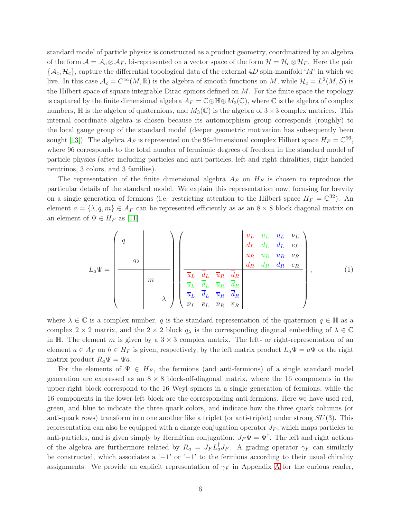standard model of particle physics is constructed as a product geometry, coordinatized by an algebra of the form  $\mathcal{A} = \mathcal{A}_c \otimes \mathcal{A}_F$ , bi-represented on a vector space of the form  $\mathcal{H} = \mathcal{H}_c \otimes \mathcal{H}_F$ . Here the pair  $\{\mathcal{A}_c, \mathcal{H}_c\}$ , capture the differential topological data of the external 4D spin-manifold 'M' in which we live. In this case  $\mathcal{A}_c = C^{\infty}(M, \mathbb{R})$  is the algebra of smooth functions on M, while  $\mathcal{H}_c = L^2(M, S)$  is the Hilbert space of square integrable Dirac spinors defined on  $M$ . For the finite space the topology is captured by the finite dimensional algebra  $A_F = \mathbb{C} \oplus \mathbb{H} \oplus M_3(\mathbb{C})$ , where  $\mathbb C$  is the algebra of complex numbers,  $\mathbb H$  is the algebra of quaternions, and  $M_3(\mathbb C)$  is the algebra of  $3\times 3$  complex matrices. This internal coordinate algebra is chosen because its automorphism group corresponds (roughly) to the local gauge group of the standard model (deeper geometric motivation has subsequently been sought [\[13\]](#page-29-2)). The algebra  $A_F$  is represented on the 96-dimensional complex Hilbert space  $H_F = \mathbb{C}^{96}$ , where 96 corresponds to the total number of fermionic degrees of freedom in the standard model of particle physics (after including particles and anti-particles, left and right chiralities, right-handed neutrinos, 3 colors, and 3 families).

The representation of the finite dimensional algebra  $A_F$  on  $H_F$  is chosen to reproduce the particular details of the standard model. We explain this representation now, focusing for brevity on a single generation of fermions (i.e. restricting attention to the Hilbert space  $H_F = \mathbb{C}^{32}$ ). An element  $a = \{\lambda, q, m\} \in A_F$  can be represented efficiently as as an  $8 \times 8$  block diagonal matrix on an element of  $\Psi \in H_F$  as [\[11\]](#page-28-1)

<span id="page-5-0"></span>
$$
L_a\Psi = \begin{pmatrix} q \\ & & \\ & q_{\lambda} \\ & & \\ & m \\ & & \\ & & \lambda \end{pmatrix} \begin{pmatrix} \frac{u_L}{d_L} & \frac{u_L}{d_L} & \frac{u_L}{d_L} & \frac{v_L}{d_L} \\ & \frac{u_R}{d_R} & \frac{d_R}{d_R} & \frac{d_R}{d_R} & \frac{v_R}{d_R} \\ & \frac{\overline{u_L}}{d_L} & \frac{\overline{d_L}}{d_L} & \frac{\overline{u_R}}{d_R} & \frac{\overline{d_R}}{d_R} \\ & \frac{\overline{u_L}}{d_L} & \frac{\overline{d_L}}{d_L} & \frac{\overline{u_R}}{d_R} & \frac{\overline{d_R}}{d_R} \\ & \overline{v_L} & \overline{e_L} & \overline{v_R} & \overline{e_R} \end{pmatrix}, \qquad (1)
$$

where  $\lambda \in \mathbb{C}$  is a complex number, q is the standard representation of the quaternion  $q \in \mathbb{H}$  as a complex 2 × 2 matrix, and the 2 × 2 block  $q_\lambda$  is the corresponding diagonal embedding of  $\lambda \in \mathbb{C}$ in H. The element m is given by a  $3 \times 3$  complex matrix. The left- or right-representation of an element  $a \in A_F$  on  $h \in H_F$  is given, respectively, by the left matrix product  $L_a \Psi = a \Psi$  or the right matrix product  $R_a \Psi = \Psi a$ .

For the elements of  $\Psi \in H_F$ , the fermions (and anti-fermions) of a single standard model generation are expressed as an  $8 \times 8$  block-off-diagonal matrix, where the 16 components in the upper-right block correspond to the 16 Weyl spinors in a single generation of fermions, while the 16 components in the lower-left block are the corresponding anti-fermions. Here we have used red, green, and blue to indicate the three quark colors, and indicate how the three quark columns (or anti-quark rows) transform into one another like a triplet (or anti-triplet) under strong  $SU(3)$ . This representation can also be equipped with a charge conjugation operator  $J_F$ , which maps particles to anti-particles, and is given simply by Hermitian conjugation:  $J_F \Psi = \Psi^{\dagger}$ . The left and right actions of the algebra are furthermore related by  $R_a = J_F L_a^{\dagger} J_F$ . A grading operator  $\gamma_F$  can similarly be constructed, which associates a '+1' or '−1' to the fermions according to their usual chirality assignments. We provide an explicit representation of  $\gamma_F$  in [A](#page-22-0)ppendix A for the curious reader,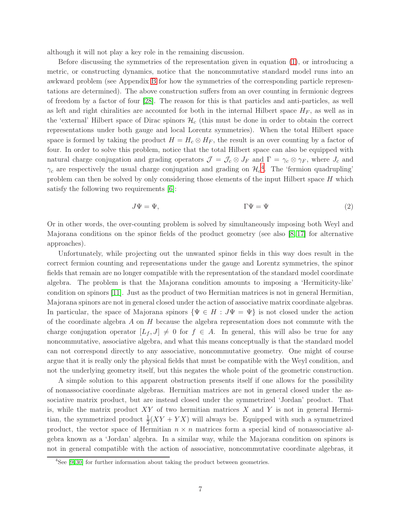although it will not play a key role in the remaining discussion.

Before discussing the symmetries of the representation given in equation [\(1\)](#page-5-0), or introducing a metric, or constructing dynamics, notice that the noncommutative standard model runs into an awkward problem (see Appendix [B](#page-23-0) for how the symmetries of the corresponding particle representations are determined). The above construction suffers from an over counting in fermionic degrees of freedom by a factor of four [\[28\]](#page-29-3). The reason for this is that particles and anti-particles, as well as left and right chiralities are accounted for both in the internal Hilbert space  $H_F$ , as well as in the 'external' Hilbert space of Dirac spinors  $\mathcal{H}_c$  (this must be done in order to obtain the correct representations under both gauge and local Lorentz symmetries). When the total Hilbert space space is formed by taking the product  $H = H_c \otimes H_F$ , the result is an over counting by a factor of four. In order to solve this problem, notice that the total Hilbert space can also be equipped with natural charge conjugation and grading operators  $\mathcal{J} = \mathcal{J}_c \otimes J_F$  and  $\Gamma = \gamma_c \otimes \gamma_F$ , where  $J_c$  and  $\gamma_c$  are respectively the usual charge conjugation and grading on  $\mathcal{H}_c^A$ . The 'fermion quadrupling' problem can then be solved by only considering those elements of the input Hilbert space  $H$  which satisfy the following two requirements [\[6\]](#page-28-2):

$$
J\Psi = \Psi,\qquad \qquad \Gamma\Psi = \Psi\tag{2}
$$

Or in other words, the over-counting problem is solved by simultaneously imposing both Weyl and Majorana conditions on the spinor fields of the product geometry (see also  $\lvert 8, 17 \rvert$  for alternative approaches).

Unfortunately, while projecting out the unwanted spinor fields in this way does result in the correct fermion counting and representations under the gauge and Lorentz symmetries, the spinor fields that remain are no longer compatible with the representation of the standard model coordinate algebra. The problem is that the Majorana condition amounts to imposing a 'Hermiticity-like' condition on spinors [\[11\]](#page-28-1). Just as the product of two Hermitian matrices is not in general Hermitian, Majorana spinors are not in general closed under the action of associative matrix coordinate algebras. In particular, the space of Majorana spinors  $\{\Psi \in H : J\Psi = \Psi\}$  is not closed under the action of the coordinate algebra  $A$  on  $H$  because the algebra representation does not commute with the charge conjugation operator  $[L_f, J] \neq 0$  for  $f \in A$ . In general, this will also be true for any noncommutative, associative algebra, and what this means conceptually is that the standard model can not correspond directly to any associative, noncommutative geometry. One might of course argue that it is really only the physical fields that must be compatible with the Weyl condition, and not the underlying geometry itself, but this negates the whole point of the geometric construction.

A simple solution to this apparent obstruction presents itself if one allows for the possibility of nonassociative coordinate algebras. Hermitian matrices are not in general closed under the associative matrix product, but are instead closed under the symmetrized 'Jordan' product. That is, while the matrix product  $XY$  of two hermitian matrices  $X$  and  $Y$  is not in general Hermitian, the symmetrized product  $\frac{1}{2}(XY + YX)$  will always be. Equipped with such a symmetrized product, the vector space of Hermitian  $n \times n$  matrices form a special kind of nonassociative algebra known as a 'Jordan' algebra. In a similar way, while the Majorana condition on spinors is not in general compatible with the action of associative, noncommutative coordinate algebras, it

<span id="page-6-0"></span> $4$ See [\[9,](#page-28-6)30] for further information about taking the product between geometries.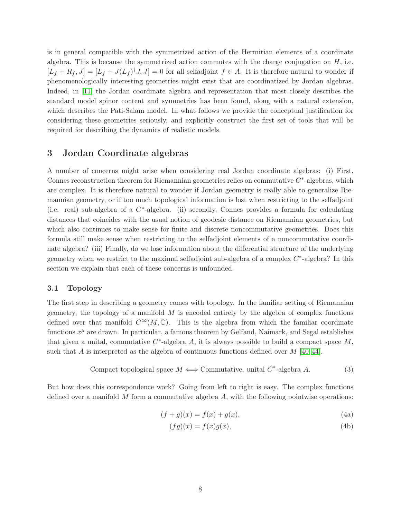is in general compatible with the symmetrized action of the Hermitian elements of a coordinate algebra. This is because the symmetrized action commutes with the charge conjugation on  $H$ , i.e.  $[L_f + R_f, J] = [L_f + J(L_f)^{\dagger} J, J] = 0$  for all selfadjoint  $f \in A$ . It is therefore natural to wonder if phenomenologically interesting geometries might exist that are coordinatized by Jordan algebras. Indeed, in [\[11\]](#page-28-1) the Jordan coordinate algebra and representation that most closely describes the standard model spinor content and symmetries has been found, along with a natural extension, which describes the Pati-Salam model. In what follows we provide the conceptual justification for considering these geometries seriously, and explicitly construct the first set of tools that will be required for describing the dynamics of realistic models.

# <span id="page-7-0"></span>3 Jordan Coordinate algebras

A number of concerns might arise when considering real Jordan coordinate algebras: (i) First, Connes reconstruction theorem for Riemannian geometries relies on commutative  $C^*$ -algebras, which are complex. It is therefore natural to wonder if Jordan geometry is really able to generalize Riemannian geometry, or if too much topological information is lost when restricting to the selfadjoint (i.e. real) sub-algebra of a C ∗ -algebra. (ii) secondly, Connes provides a formula for calculating distances that coincides with the usual notion of geodesic distance on Riemannian geometries, but which also continues to make sense for finite and discrete noncommutative geometries. Does this formula still make sense when restricting to the selfadjoint elements of a noncommutative coordinate algebra? (iii) Finally, do we lose information about the differential structure of the underlying geometry when we restrict to the maximal selfadjoint sub-algebra of a complex  $C^*$ -algebra? In this section we explain that each of these concerns is unfounded.

### <span id="page-7-1"></span>3.1 Topology

The first step in describing a geometry comes with topology. In the familiar setting of Riemannian geometry, the topology of a manifold  $M$  is encoded entirely by the algebra of complex functions defined over that manifold  $C^{\infty}(M,\mathbb{C})$ . This is the algebra from which the familiar coordinate functions  $x^{\mu}$  are drawn. In particular, a famous theorem by Gelfand, Naimark, and Segal establishes that given a unital, commutative  $C^*$ -algebra A, it is always possible to build a compact space  $M$ , such that A is interpreted as the algebra of continuous functions defined over M [\[40,](#page-30-2) [44\]](#page-30-3).

Compact topological space 
$$
M \iff
$$
 Commutative, unital  $C^*$ -algebra A. (3)

But how does this correspondence work? Going from left to right is easy. The complex functions defined over a manifold  $M$  form a commutative algebra  $A$ , with the following pointwise operations:

$$
(f+g)(x) = f(x) + g(x),
$$
\n(4a)

<span id="page-7-3"></span><span id="page-7-2"></span>
$$
(fg)(x) = f(x)g(x),\tag{4b}
$$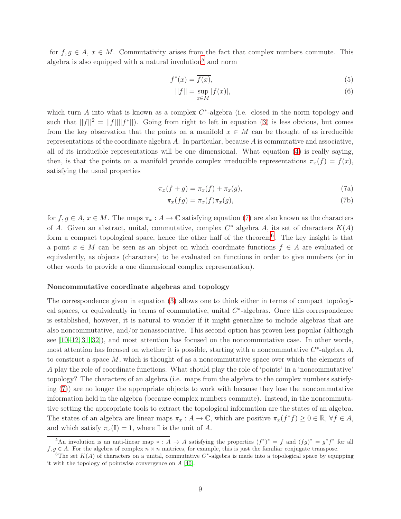for  $f, g \in A$ ,  $x \in M$ . Commutativity arises from the fact that complex numbers commute. This algebra is also equipped with a natural involution<sup>[5](#page-8-0)</sup> and norm

$$
f^*(x) = \overline{f(x)},\tag{5}
$$

<span id="page-8-3"></span>
$$
||f|| = \sup_{x \in M} |f(x)|,
$$
 (6)

which turn  $A$  into what is known as a complex  $C^*$ -algebra (i.e. closed in the norm topology and such that  $||f||^2 = ||f|| ||f^*||$ . Going from right to left in equation [\(3\)](#page-7-2) is less obvious, but comes from the key observation that the points on a manifold  $x \in M$  can be thought of as irreducible representations of the coordinate algebra  $A$ . In particular, because  $A$  is commutative and associative, all of its irriducible representations will be one dimensional. What equation [\(4\)](#page-7-3) is really saying, then, is that the points on a manifold provide complex irreducible representations  $\pi_x(f) = f(x)$ , satisfying the usual properties

$$
\pi_x(f+g) = \pi_x(f) + \pi_x(g),\tag{7a}
$$

<span id="page-8-1"></span>
$$
\pi_x(fg) = \pi_x(f)\pi_x(g),\tag{7b}
$$

for  $f, g \in A$ ,  $x \in M$ . The maps  $\pi_x : A \to \mathbb{C}$  satisfying equation [\(7\)](#page-8-1) are also known as the characters of A. Given an abstract, unital, commutative, complex  $C^*$  algebra A, its set of characters  $K(A)$ form a compact topological space, hence the other half of the theorem<sup>[6](#page-8-2)</sup>. The key insight is that a point  $x \in M$  can be seen as an object on which coordinate functions  $f \in A$  are evaluated or equivalently, as objects (characters) to be evaluated on functions in order to give numbers (or in other words to provide a one dimensional complex representation).

#### Noncommutative coordinate algebras and topology

The correspondence given in equation [\(3\)](#page-7-2) allows one to think either in terms of compact topological spaces, or equivalently in terms of commutative, unital  $C^*$ -algebras. Once this correspondence is established, however, it is natural to wonder if it might generalize to include algebras that are also noncommutative, and/or nonassociative. This second option has proven less popular (although see [\[10](#page-28-4)[–12,](#page-28-7) [31,](#page-30-4) [32\]](#page-30-0)), and most attention has focused on the noncommutative case. In other words, most attention has focused on whether it is possible, starting with a noncommutative  $C^*$ -algebra  $A$ , to construct a space  $M$ , which is thought of as a noncommutative space over which the elements of A play the role of coordinate functions. What should play the role of 'points' in a 'noncommutative' topology? The characters of an algebra (i.e. maps from the algebra to the complex numbers satisfying [\(7\)](#page-8-1)) are no longer the appropriate objects to work with because they lose the noncommutative information held in the algebra (because complex numbers commute). Instead, in the noncommutative setting the appropriate tools to extract the topological information are the states of an algebra. The states of an algebra are linear maps  $\pi_x : A \to \mathbb{C}$ , which are positive  $\pi_x(f^*f) \geq 0 \in \mathbb{R}$ ,  $\forall f \in A$ , and which satisfy  $\pi_x(\mathbb{I}) = 1$ , where  $\mathbb{I}$  is the unit of A.

<span id="page-8-0"></span><sup>&</sup>lt;sup>5</sup>An involution is an anti-linear map  $* : A \to A$  satisfying the properties  $(f^*)^* = f$  and  $(fg)^* = g^*f^*$  for all  $f, g \in A$ . For the algebra of complex  $n \times n$  matrices, for example, this is just the familiar conjugate transpose.

<span id="page-8-2"></span><sup>&</sup>lt;sup>6</sup>The set  $K(A)$  of characters on a unital, commutative  $C^*$ -algebra is made into a topological space by equipping it with the topology of pointwise convergence on A [\[40\]](#page-30-2).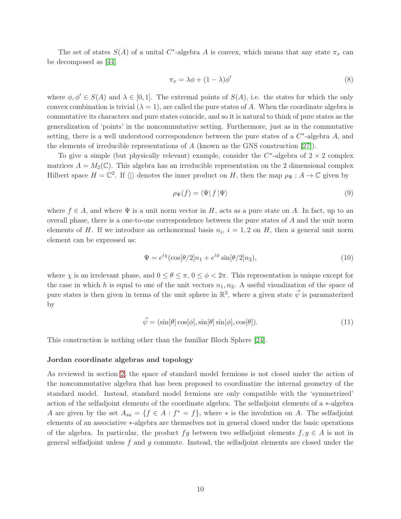The set of states  $S(A)$  of a unital C<sup>\*</sup>-algebra A is convex, which means that any state  $\pi_x$  can be decomposed as [\[44\]](#page-30-3)

$$
\pi_x = \lambda \phi + (1 - \lambda)\phi'
$$
\n(8)

where  $\phi, \phi' \in S(A)$  and  $\lambda \in [0, 1]$ . The extremal points of  $S(A)$ , i.e. the states for which the only convex combination is trivial  $(\lambda = 1)$ , are called the pure states of A. When the coordinate algebra is commutative its characters and pure states coincide, and so it is natural to think of pure states as the generalization of 'points' in the noncommutative setting. Furthermore, just as in the commutative setting, there is a well understood correspondence between the pure states of a  $C^*$ -algebra A, and the elements of irreducible representations of  $A$  (known as the GNS construction [\[27\]](#page-29-7)).

To give a simple (but physically relevant) example, consider the  $C^*$ -algebra of  $2 \times 2$  complex matrices  $A = M_2(\mathbb{C})$ . This algebra has an irreducible representation on the 2 dimensional complex Hilbert space  $H = \mathbb{C}^2$ . If  $\langle \rangle$  denotes the inner product on H, then the map  $\rho_{\Psi}: A \to \mathbb{C}$  given by

$$
\rho_{\Psi}(f) = \langle \Psi | f | \Psi \rangle \tag{9}
$$

where  $f \in A$ , and where  $\Psi$  is a unit norm vector in H, acts as a pure state on A. In fact, up to an overall phase, there is a one-to-one correspondence between the pure states of A and the unit norm elements of H. If we introduce an orthonormal basis  $n_i$ ,  $i = 1, 2$  on H, then a general unit norm element can be expressed as:

$$
\Psi = e^{i\chi} (\cos[\theta/2]n_1 + e^{i\phi} \sin[\theta/2]n_2),\tag{10}
$$

where  $\chi$  is an irrelevant phase, and  $0 \le \theta \le \pi$ ,  $0 \le \phi < 2\pi$ . This representation is unique except for the case in which h is equal to one of the unit vectors  $n_1, n_2$ . A useful visualization of the space of pure states is then given in terms of the unit sphere in  $\mathbb{R}^3$ , where a given state  $\vec{\psi}$  is paramaterized by

$$
\vec{\psi} = (\sin[\theta]\cos[\phi], \sin[\theta]\sin[\phi], \cos[\theta]). \tag{11}
$$

This construction is nothing other than the familiar Bloch Sphere [\[24\]](#page-29-8).

#### Jordan coordinate algebras and topology

As reviewed in section [2,](#page-4-0) the space of standard model fermions is not closed under the action of the noncommutative algebra that has been proposed to coordinatize the internal geometry of the standard model. Instead, standard model fermions are only compatible with the 'symmetrized' action of the selfadjoint elements of the coordinate algebra. The selfadjoint elements of a ∗-algebra A are given by the set  $A_{sa} = \{f \in A : f^* = f\}$ , where  $*$  is the involution on A. The selfadjoint elements of an associative ∗-algebra are themselves not in general closed under the basic operations of the algebra. In particular, the product fg between two selfadjoint elements  $f, g \in A$  is not in general selfadjoint unless  $f$  and  $g$  commute. Instead, the selfadjoint elements are closed under the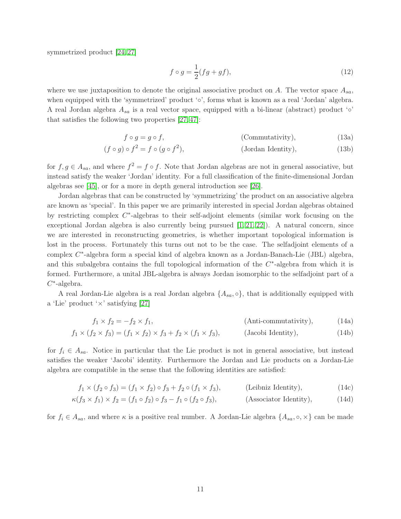symmetrized product [\[24,](#page-29-8) [27\]](#page-29-7)

<span id="page-10-4"></span><span id="page-10-3"></span>
$$
f \circ g = \frac{1}{2}(fg + gf),\tag{12}
$$

where we use juxtaposition to denote the original associative product on  $A$ . The vector space  $A_{sa}$ , when equipped with the 'symmetrized' product '∘', forms what is known as a real 'Jordan' algebra. A real Jordan algebra  $A_{sa}$  is a real vector space, equipped with a bi-linear (abstract) product ' $\circ$ ' that satisfies the following two properties [\[27,](#page-29-7) [47\]](#page-31-0):

$$
f \circ g = g \circ f,\tag{13a}
$$

$$
(f \circ g) \circ f^2 = f \circ (g \circ f^2), \qquad \qquad \text{(Jordan Identity)}, \tag{13b}
$$

for  $f, g \in A_{sa}$ , and where  $f^2 = f \circ f$ . Note that Jordan algebras are not in general associative, but instead satisfy the weaker 'Jordan' identity. For a full classification of the finite-dimensional Jordan algebras see [\[45\]](#page-30-5), or for a more in depth general introduction see [\[26\]](#page-29-9).

Jordan algebras that can be constructed by 'symmetrizing' the product on an associative algebra are known as 'special'. In this paper we are primarily interested in special Jordan algebras obtained by restricting complex C<sup>\*</sup>-algebras to their self-adjoint elements (similar work focusing on the exceptional Jordan algebra is also currently being pursued  $[1, 21, 22]$  $[1, 21, 22]$  $[1, 21, 22]$ . A natural concern, since we are interested in reconstructing geometries, is whether important topological information is lost in the process. Fortunately this turns out not to be the case. The selfadjoint elements of a complex C<sup>\*</sup>-algebra form a special kind of algebra known as a Jordan-Banach-Lie (JBL) algebra, and this subalgebra contains the full topological information of the  $C^*$ -algebra from which it is formed. Furthermore, a unital JBL-algebra is always Jordan isomorphic to the selfadjoint part of a  $C^*$ -algebra.

A real Jordan-Lie algebra is a real Jordan algebra  $\{A_{sa}, \circ\}$ , that is additionally equipped with a 'Lie' product ' $\times$ ' satisfying [\[27\]](#page-29-7)

<span id="page-10-1"></span><span id="page-10-0"></span>
$$
f_1 \times f_2 = -f_2 \times f_1,\tag{14a}
$$

$$
f_1 \times (f_2 \times f_3) = (f_1 \times f_2) \times f_3 + f_2 \times (f_1 \times f_3), \qquad \text{(Jacobi Identity)},
$$
\n(14b)

for  $f_i \in A_{sa}$ . Notice in particular that the Lie product is not in general associative, but instead satisfies the weaker 'Jacobi' identity. Furthermore the Jordan and Lie products on a Jordan-Lie algebra are compatible in the sense that the following identities are satisfied:

<span id="page-10-2"></span>
$$
f_1 \times (f_2 \circ f_3) = (f_1 \times f_2) \circ f_3 + f_2 \circ (f_1 \times f_3),
$$
 (Leibniz Identity), (14c)

$$
\kappa(f_3 \times f_1) \times f_2 = (f_1 \circ f_2) \circ f_3 - f_1 \circ (f_2 \circ f_3), \tag{Associator Identity},
$$
 (14d)

for  $f_i \in A_{sa}$ , and where  $\kappa$  is a positive real number. A Jordan-Lie algebra  $\{A_{sa}, \circ, \times\}$  can be made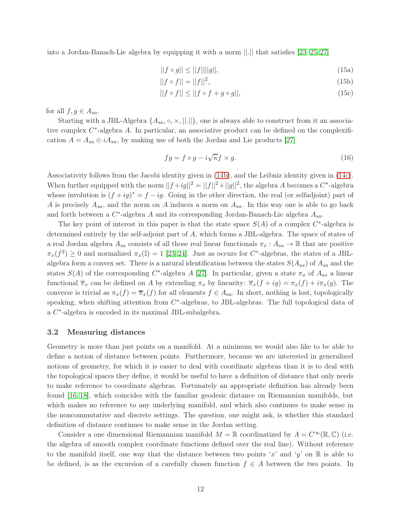into a Jordan-Banach-Lie algebra by equipping it with a norm ||.|| that satisfies [\[23–](#page-29-11)[25,](#page-29-12) [27\]](#page-29-7)

$$
||f \circ g|| \le ||f|| ||g||,\tag{15a}
$$

$$
||f \circ f|| = ||f||^2,\t(15b)
$$

$$
||f \circ f|| \le ||f \circ f + g \circ g||,\tag{15c}
$$

for all  $f, g \in A_{sa}$ .

Starting with a JBL-Algebra  $\{A_{sa}, \circ, \times\}$ , ||.||}, one is always able to construct from it an associative complex  $C^*$ -algebra A. In particular, an associative product can be defined on the complexification  $A = A_{sa} \oplus iA_{sa}$ , by making use of both the Jordan and Lie products [\[27\]](#page-29-7)

<span id="page-11-1"></span>
$$
fg = f \circ g - i\sqrt{\kappa}f \times g. \tag{16}
$$

Associativity follows from the Jacobi identity given in [\(14b\)](#page-10-0), and the Leibniz identity given in [\(14c\)](#page-10-1). When further equipped with the norm  $||f+ig||^2 = ||f||^2 + ||g||^2$ , the algebra A becomes a  $C^*$ -algebra whose involution is  $(f+ig)^* = f - ig$ . Going in the other direction, the real (or selfadjoint) part of A is precisely  $A_{sa}$ , and the norm on A induces a norm on  $A_{sa}$ . In this way one is able to go back and forth between a  $C^*$ -algebra A and its corresponding Jordan-Banach-Lie algebra  $A_{sa}$ .

The key point of interest in this paper is that the state space  $S(A)$  of a complex  $C^*$ -algebra is determined entirely by the self-adjoint part of A, which forms a JBL-algebra. The space of states of a real Jordan algebra  $A_{sa}$  consists of all those real linear functionals  $\pi_x : A_{sa} \to \mathbb{R}$  that are positive  $\pi_x(f^2) \ge 0$  and normalized  $\pi_x(\mathbb{I}) = 1$  [\[23,](#page-29-11) [24\]](#page-29-8). Just as occurs for C<sup>\*</sup>-algebras, the states of a JBLalgebra form a convex set. There is a natural identification between the states  $S(A_{as})$  of  $A_{sa}$  and the states  $S(A)$  of the corresponding C<sup>\*</sup>-algebra A [\[27\]](#page-29-7). In particular, given a state  $\pi_x$  of  $A_{as}$  a linear functional  $\overline{\pi}_x$  can be defined on A by extending  $\pi_x$  by linearity:  $\overline{\pi}_x(f + ig) = \pi_x(f) + i\pi_x(g)$ . The converse is trivial as  $\pi_x(f) = \overline{\pi}_x(f)$  for all elements  $f \in A_{sa}$ . In short, nothing is lost, topologically speaking, when shifting attention from  $C^*$ -algebras, to JBL-algebras. The full topological data of a C<sup>\*</sup>-algebra is encoded in its maximal JBL-subalgebra.

### <span id="page-11-0"></span>3.2 Measuring distances

Geometry is more than just points on a manifold. At a minimum we would also like to be able to define a notion of distance between points. Furthermore, because we are interested in generalized notions of geometry, for which it is easier to deal with coordinate algebras than it is to deal with the topological spaces they define, it would be useful to have a definition of distance that only needs to make reference to coordinate algebras. Fortunately an appropriate definition has already been found [\[16,](#page-29-0) [18\]](#page-29-13), which coincides with the familiar geodesic distance on Riemannian manifolds, but which makes no reference to any underlying manifold, and which also continues to make sense in the noncommutative and discrete settings. The question, one might ask, is whether this standard definition of distance continues to make sense in the Jordan setting.

Consider a one dimensional Riemannian manifold  $M = \mathbb{R}$  coordinatized by  $A = C^{\infty}(\mathbb{R}, \mathbb{C})$  (i.e. the algebra of smooth complex coordinate functions defined over the real line). Without reference to the manifold itself, one way that the distance between two points 'x' and 'y' on  $\mathbb R$  is able to be defined, is as the excursion of a carefully chosen function  $f \in A$  between the two points. In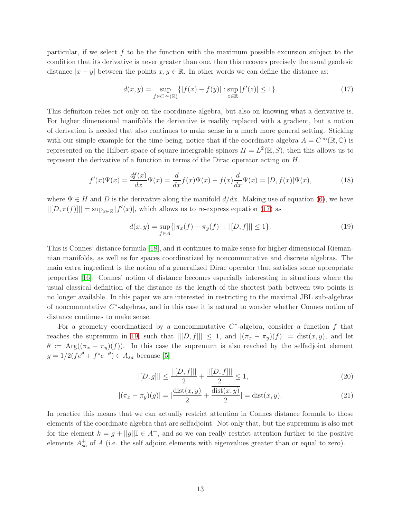particular, if we select  $f$  to be the function with the maximum possible excursion subject to the condition that its derivative is never greater than one, then this recovers precisely the usual geodesic distance  $|x - y|$  between the points  $x, y \in \mathbb{R}$ . In other words we can define the distance as:

<span id="page-12-0"></span>
$$
d(x,y) = \sup_{f \in C^{\infty}(\mathbb{R})} \{ |f(x) - f(y)| : \sup_{z \in \mathbb{R}} |f'(z)| \le 1 \}. \tag{17}
$$

This definition relies not only on the coordinate algebra, but also on knowing what a derivative is. For higher dimensional manifolds the derivative is readily replaced with a gradient, but a notion of derivation is needed that also continues to make sense in a much more general setting. Sticking with our simple example for the time being, notice that if the coordinate algebra  $A = C^{\infty}(\mathbb{R}, \mathbb{C})$  is represented on the Hilbert space of square intergrable spinors  $H = L^2(\mathbb{R}, S)$ , then this allows us to represent the derivative of a function in terms of the Dirac operator acting on H.

$$
f'(x)\Psi(x) = \frac{df(x)}{dx}\Psi(x) = \frac{d}{dx}f(x)\Psi(x) - f(x)\frac{d}{dx}\Psi(x) = [D, f(x)]\Psi(x),\tag{18}
$$

where  $\Psi \in H$  and D is the derivative along the manifold  $d/dx$ . Making use of equation [\(6\)](#page-8-3), we have  $||[D, \pi(f)]|| = \sup_{x \in \mathbb{R}} |f'(x)|$ , which allows us to re-express equation [\(17\)](#page-12-0) as

<span id="page-12-1"></span>
$$
d(x,y) = \sup_{f \in A} \{ |\pi_x(f) - \pi_y(f)| : ||[D, f]|| \le 1 \}.
$$
\n(19)

This is Connes' distance formula [\[18\]](#page-29-13), and it continues to make sense for higher dimensional Riemannian manifolds, as well as for spaces coordinatized by noncommutative and discrete algebras. The main extra ingredient is the notion of a generalized Dirac operator that satisfies some appropriate properties [\[16\]](#page-29-0). Connes' notion of distance becomes especially interesting in situations where the usual classical definition of the distance as the length of the shortest path between two points is no longer available. In this paper we are interested in restricting to the maximal JBL sub-algebras of noncommutative  $C^*$ -algebras, and in this case it is natural to wonder whether Connes notion of distance continues to make sense.

For a geometry coordinatized by a noncommutative  $C^*$ -algebra, consider a function f that reaches the supremum in [19,](#page-12-1) such that  $||[D, f]|| \leq 1$ , and  $|(\pi_x - \pi_y)(f)| = \text{dist}(x, y)$ , and let  $\theta := \text{Arg}((\pi_x - \pi_y)(f)).$  In this case the supremum is also reached by the selfadjoint element  $g = 1/2(f e^{\theta} + f^* e^{-\theta}) \in A_{sa}$  because [\[5\]](#page-28-9)

$$
||[D,g]|| \le \frac{||[D,f]||}{2} + \frac{||[D,f]||}{2} \le 1,
$$
\n(20)

$$
|(\pi_x - \pi_y)(g)| = |\frac{\text{dist}(x, y)}{2} + \frac{\text{dist}(x, y)}{2}| = \text{dist}(x, y). \tag{21}
$$

In practice this means that we can actually restrict attention in Connes distance formula to those elements of the coordinate algebra that are selfadjoint. Not only that, but the supremum is also met for the element  $k = g + ||g|| \mathbb{I} \in A^+$ , and so we can really restrict attention further to the positive elements  $A_{sa}^+$  of A (i.e. the self adjoint elements with eigenvalues greater than or equal to zero).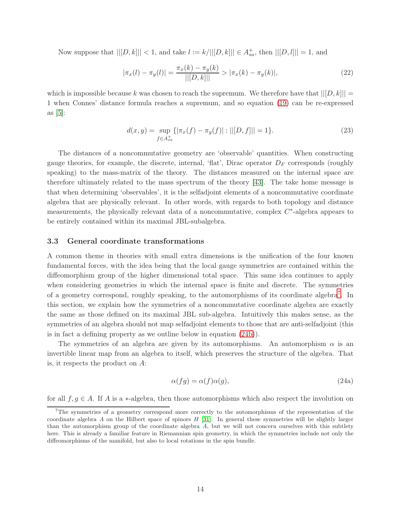Now suppose that  $||[D, k]|| < 1$ , and take  $l := k/||[D, k]|| \in A_{sa}^+$ , then  $||[D, l]|| = 1$ , and

$$
|\pi_x(l) - \pi_y(l)| = \frac{\pi_x(k) - \pi_y(k)}{||[D, k]||} > |\pi_x(k) - \pi_y(k)|,
$$
\n(22)

which is impossible because k was chosen to reach the supremum. We therefore have that  $||[D, k]|| =$ 1 when Connes' distance formula reaches a supremum, and so equation [\(19\)](#page-12-1) can be re-expressed as [\[5\]](#page-28-9):

$$
d(x,y) = \sup_{f \in A_{sa}^+} \{ |\pi_x(f) - \pi_y(f)| : ||[D, f]|| = 1 \}.
$$
 (23)

The distances of a noncommutative geometry are 'observable' quantities. When constructing gauge theories, for example, the discrete, internal, 'flat', Dirac operator  $D_F$  corresponds (roughly speaking) to the mass-matrix of the theory. The distances measured on the internal space are therefore ultimately related to the mass spectrum of the theory [\[43\]](#page-30-6). The take home message is that when determining 'observables', it is the selfadjoint elements of a noncommutative coordinate algebra that are physically relevant. In other words, with regards to both topology and distance measurements, the physically relevant data of a noncommutative, complex  $C^*$ -algebra appears to be entirely contained within its maximal JBL-subalgebra.

### <span id="page-13-0"></span>3.3 General coordinate transformations

A common theme in theories with small extra dimensions is the unification of the four known fundamental forces, with the idea being that the local gauge symmetries are contained within the diffeomorphism group of the higher dimensional total space. This same idea continues to apply when considering geometries in which the internal space is finite and discrete. The symmetries of a geometry correspond, roughly speaking, to the automorphisms of its coordinate algebra<sup>[7](#page-13-1)</sup>. In this section, we explain how the symmetries of a noncommutative coordinate algebra are exactly the same as those defined on its maximal JBL sub-algebra. Intuitively this makes sense, as the symmetries of an algebra should not map selfadjoint elements to those that are anti-selfadjoint (this is in fact a defining property as we outline below in equation [\(24b\)](#page-14-0)).

The symmetries of an algebra are given by its automorphisms. An automorphism  $\alpha$  is an invertible linear map from an algebra to itself, which preserves the structure of the algebra. That is, it respects the product on A:

$$
\alpha(fg) = \alpha(f)\alpha(g),\tag{24a}
$$

for all  $f, g \in A$ . If A is a  $\ast$ -algebra, then those automorphisms which also respect the involution on

<span id="page-13-1"></span><sup>7</sup>The symmetries of a geometry correspond more correctly to the automorphisms of the representation of the coordinate algebra A on the Hilbert space of spinors H [\[31\]](#page-30-4). In general these symmetries will be slightly larger than the automorphism group of the coordinate algebra A, but we will not concern ourselves with this subtlety here. This is already a familiar feature in Riemannian spin geometry, in which the symmetries include not only the diffeomorphisms of the manifold, but also to local rotations in the spin bundle.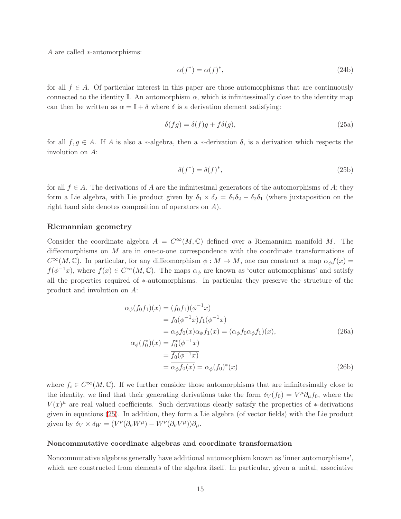A are called ∗-automorphisms:

<span id="page-14-0"></span>
$$
\alpha(f^*) = \alpha(f)^*,\tag{24b}
$$

for all  $f \in A$ . Of particular interest in this paper are those automorphisms that are continuously connected to the identity I. An automorphism  $\alpha$ , which is infinitessimally close to the identity map can then be written as  $\alpha = \mathbb{I} + \delta$  where  $\delta$  is a derivation element satisfying:

$$
\delta(fg) = \delta(f)g + f\delta(g),\tag{25a}
$$

for all  $f, g \in A$ . If A is also a \*-algebra, then a \*-derivation  $\delta$ , is a derivation which respects the involution on A:

<span id="page-14-1"></span>
$$
\delta(f^*) = \delta(f)^*,\tag{25b}
$$

for all  $f \in A$ . The derivations of A are the infinitesimal generators of the automorphisms of A; they form a Lie algebra, with Lie product given by  $\delta_1 \times \delta_2 = \delta_1 \delta_2 - \delta_2 \delta_1$  (where juxtaposition on the right hand side denotes composition of operators on A).

### Riemannian geometry

Consider the coordinate algebra  $A = C^{\infty}(M, \mathbb{C})$  defined over a Riemannian manifold M. The diffeomorphisms on M are in one-to-one correspondence with the coordinate transformations of  $C^{\infty}(M,\mathbb{C})$ . In particular, for any diffeomorphism  $\phi : M \to M$ , one can construct a map  $\alpha_{\phi} f(x) =$  $f(\phi^{-1}x)$ , where  $f(x) \in C^{\infty}(M, \mathbb{C})$ . The maps  $\alpha_{\phi}$  are known as 'outer automorphisms' and satisfy all the properties required of ∗-automorphisms. In particular they preserve the structure of the product and involution on A:

$$
\alpha_{\phi}(f_0 f_1)(x) = (f_0 f_1)(\phi^{-1} x) \n= f_0(\phi^{-1} x) f_1(\phi^{-1} x) \n= \alpha_{\phi} f_0(x) \alpha_{\phi} f_1(x) = (\alpha_{\phi} f_0 \alpha_{\phi} f_1)(x), \n\alpha_{\phi}(f_0^*)(x) = f_0^*(\phi^{-1} x) \n= \frac{f_0(\phi^{-1} x)}{f_0(\phi^{-1} x)} \n= \alpha_{\phi} f_0(x) = \alpha_{\phi}(f_0)^*(x)
$$
\n(26b)

where  $f_i \in C^{\infty}(M, \mathbb{C})$ . If we further consider those automorphisms that are infinitesimally close to the identity, we find that their generating derivations take the form  $\delta_V(f_0) = V^{\mu} \partial_{\mu} f_0$ , where the  $V(x)^\mu$  are real valued coefficients. Such derivations clearly satisfy the properties of ∗-derivations given in equations [\(25\)](#page-14-1). In addition, they form a Lie algebra (of vector fields) with the Lie product given by  $\delta_V \times \delta_W = (V^{\nu}(\partial_{\nu}W^{\mu}) - W^{\nu}(\partial_{\nu}V^{\mu}))\partial_{\mu}$ .

#### Noncommutative coordinate algebras and coordinate transformation

Noncommutative algebras generally have additional automorphism known as 'inner automorphisms', which are constructed from elements of the algebra itself. In particular, given a unital, associative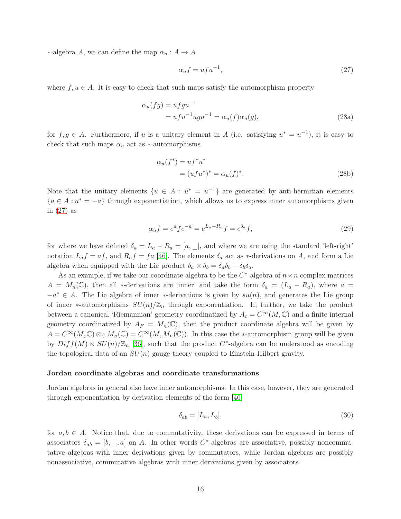$\ast$ -algebra *A*, we can define the map  $\alpha$ <sub>*u*</sub> : *A* → *A* 

<span id="page-15-0"></span>
$$
\alpha_u f = u f u^{-1},\tag{27}
$$

where  $f, u \in A$ . It is easy to check that such maps satisfy the automorphism property

$$
\alpha_u(fg) = ufgu^{-1}
$$
  
=  $ufu^{-1}ugu^{-1} = \alpha_u(f)\alpha_u(g),$  (28a)

for  $f, g \in A$ . Furthermore, if u is a unitary element in A (i.e. satisfying  $u^* = u^{-1}$ ), it is easy to check that such maps  $\alpha_u$  act as ∗-automorphisms

$$
\alpha_u(f^*) = uf^*u^* = (ufu^*)^* = \alpha_u(f)^*.
$$
\n(28b)

Note that the unitary elements  $\{u \in A : u^* = u^{-1}\}\$  are generated by anti-hermitian elements  ${a \in A : a^* = -a}$  through exponentiation, which allows us to express inner automorphisms given in [\(27\)](#page-15-0) as

<span id="page-15-2"></span>
$$
\alpha_u f = e^a f e^{-a} = e^{L_a - R_a} f = e^{\delta_a} f,\tag{29}
$$

for where we have defined  $\delta_a = L_a - R_a = [a, \cdot]$ , and where we are using the standard 'left-right' notation  $L_a f = af$ , and  $R_a f = fa$  [\[46\]](#page-30-7). The elements  $\delta_a$  act as \*-derivations on A, and form a Lie algebra when equipped with the Lie product  $\delta_a \times \delta_b = \delta_a \delta_b - \delta_b \delta_a$ .

As an example, if we take our coordinate algebra to be the  $C^*$ -algebra of  $n \times n$  complex matrices  $A = M_n(\mathbb{C})$ , then all \*-derivations are 'inner' and take the form  $\delta_a = (L_a - R_a)$ , where  $a =$  $-a^* \in A$ . The Lie algebra of inner \*-derivations is given by  $su(n)$ , and generates the Lie group of inner ∗-automorphisms  $SU(n)/\mathbb{Z}_n$  through exponentiation. If, further, we take the product between a canonical 'Riemannian' geometry coordinatized by  $A_c = C^{\infty}(M, \mathbb{C})$  and a finite internal geometry coordinatized by  $A_F = M_n(\mathbb{C})$ , then the product coordinate algebra will be given by  $A = C^{\infty}(M, \mathbb{C}) \otimes_{\mathbb{C}} M_n(\mathbb{C}) = C^{\infty}(M, M_n(\mathbb{C}))$ . In this case the \*-automorphism group will be given by  $Diff(M) \ltimes SU(n)/\mathbb{Z}_n$  [\[36\]](#page-30-8), such that the product  $C^*$ -algebra can be understood as encoding the topological data of an  $SU(n)$  gauge theory coupled to Einstein-Hilbert gravity.

#### Jordan coordinate algebras and coordinate transformations

Jordan algebras in general also have inner automorphisms. In this case, however, they are generated through exponentiation by derivation elements of the form [\[46\]](#page-30-7)

<span id="page-15-1"></span>
$$
\delta_{ab} = [L_a, L_b],\tag{30}
$$

for  $a, b \in A$ . Notice that, due to commutativity, these derivations can be expressed in terms of associators  $\delta_{ab} = [b, \_, a]$  on A. In other words C<sup>\*</sup>-algebras are associative, possibly noncommutative algebras with inner derivations given by commutators, while Jordan algebras are possibly nonassociative, commutative algebras with inner derivations given by associators.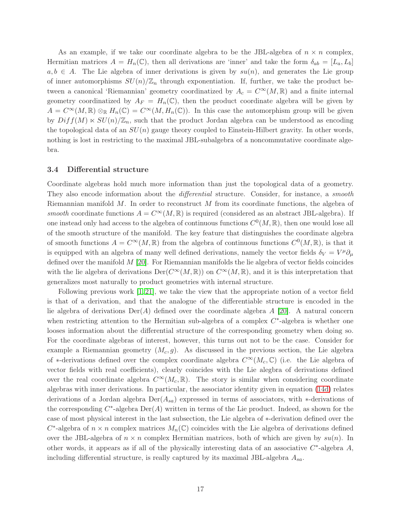As an example, if we take our coordinate algebra to be the JBL-algebra of  $n \times n$  complex, Hermitian matrices  $A = H_n(\mathbb{C})$ , then all derivations are 'inner' and take the form  $\delta_{ab} = [L_a, L_b]$  $a, b \in A$ . The Lie algebra of inner derivations is given by  $su(n)$ , and generates the Lie group of inner automorphisms  $SU(n)/\mathbb{Z}_n$  through exponentiation. If, further, we take the product between a canonical 'Riemannian' geometry coordinatized by  $A_c = C^{\infty}(M,\mathbb{R})$  and a finite internal geometry coordinatized by  $A_F = H_n(\mathbb{C})$ , then the product coordinate algebra will be given by  $A = C^{\infty}(M,\mathbb{R}) \otimes_{\mathbb{R}} H_n(\mathbb{C}) = C^{\infty}(M,H_n(\mathbb{C}))$ . In this case the automorphism group will be given by  $Diff(M) \ltimes SU(n)/\mathbb{Z}_n$ , such that the product Jordan algebra can be understood as encoding the topological data of an  $SU(n)$  gauge theory coupled to Einstein-Hilbert gravity. In other words, nothing is lost in restricting to the maximal JBL-subalgebra of a noncommutative coordinate algebra.

### <span id="page-16-0"></span>3.4 Differential structure

Coordinate algebras hold much more information than just the topological data of a geometry. They also encode information about the *differential* structure. Consider, for instance, a *smooth* Riemannian manifold  $M$ . In order to reconstruct  $M$  from its coordinate functions, the algebra of smooth coordinate functions  $A = C^{\infty}(M,\mathbb{R})$  is required (considered as an abstract JBL-algebra). If one instead only had access to the algebra of continuous functions  $C^0(M,\mathbb{R})$ , then one would lose all of the smooth structure of the manifold. The key feature that distinguishes the coordinate algebra of smooth functions  $A = C^{\infty}(M,\mathbb{R})$  from the algebra of continuous functions  $C^{0}(M,\mathbb{R})$ , is that it is equipped with an algebra of many well defined derivations, namely the vector fields  $\delta_V = V^{\mu} \partial_{\mu}$ defined over the manifold  $M$  [\[20\]](#page-29-14). For Riemannian manifolds the lie algebra of vector fields coincides with the lie algebra of derivations  $Der(C^{\infty}(M,\mathbb{R}))$  on  $C^{\infty}(M,\mathbb{R})$ , and it is this interpretation that generalizes most naturally to product geometries with internal structure.

Following previous work  $[1, 21]$  $[1, 21]$ , we take the view that the appropriate notion of a vector field is that of a derivation, and that the analogue of the differentiable structure is encoded in the lie algebra of derivations  $\text{Der}(A)$  defined over the coordinate algebra A [\[20\]](#page-29-14). A natural concern when restricting attention to the Hermitian sub-algebra of a complex  $C^*$ -algebra is whether one looses information about the differential structure of the corresponding geometry when doing so. For the coordinate algebras of interest, however, this turns out not to be the case. Consider for example a Riemannian geometry  $(M_c, g)$ . As discussed in the previous section, the Lie algebra of ∗-derivations defined over the complex coordinate algebra  $C^{\infty}(M_c, \mathbb{C})$  (i.e. the Lie algebra of vector fields with real coefficients), clearly coincides with the Lie alegbra of derivations defined over the real coordinate algebra  $C^{\infty}(M_c, \mathbb{R})$ . The story is similar when considering coordinate algebras with inner derivations. In particular, the associator identity given in equation [\(14d\)](#page-10-2) relates derivations of a Jordan algebra  $\text{Der}(A_{sa})$  expressed in terms of associators, with  $*$ -derivations of the corresponding  $C^*$ -algebra  $Der(A)$  written in terms of the Lie product. Indeed, as shown for the case of most physical interest in the last subsection, the Lie algebra of ∗-derivation defined over the  $C^*$ -algebra of  $n \times n$  complex matrices  $M_n(\mathbb{C})$  coincides with the Lie algebra of derivations defined over the JBL-algebra of  $n \times n$  complex Hermitian matrices, both of which are given by  $su(n)$ . In other words, it appears as if all of the physically interesting data of an associative  $C^*$ -algebra  $A$ , including differential structure, is really captured by its maximal JBL-algebra  $A_{sa}$ .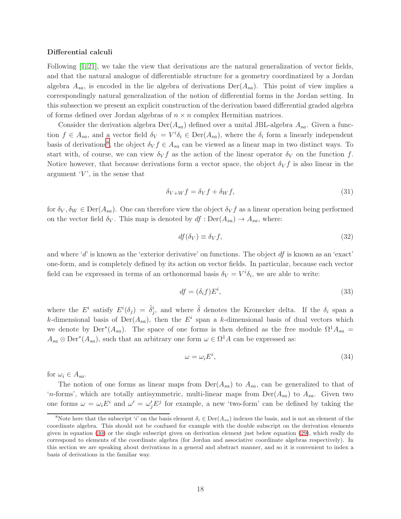#### Differential calculi

Following [\[1,](#page-28-8) [21\]](#page-29-5), we take the view that derivations are the natural generalization of vector fields, and that the natural analogue of differentiable structure for a geometry coordinatized by a Jordan algebra  $A_{sa}$ , is encoded in the lie algebra of derivations  $Der(A_{sa})$ . This point of view implies a correspondingly natural generalization of the notion of differential forms in the Jordan setting. In this subsection we present an explicit construction of the derivation based differential graded algebra of forms defined over Jordan algebras of  $n \times n$  complex Hermitian matrices.

Consider the derivation algebra  $Der(A_{sa})$  defined over a unital JBL-algebra  $A_{sa}$ . Given a function  $f \in A_{sa}$ , and a vector field  $\delta_V = V^i \delta_i \in \text{Der}(A_{sa})$ , where the  $\delta_i$  form a linearly independent basis of derivations<sup>[8](#page-17-0)</sup>, the object  $\delta_V f \in A_{sa}$  can be viewed as a linear map in two distinct ways. To start with, of course, we can view  $\delta_V f$  as the action of the linear operator  $\delta_V$  on the function f. Notice however, that because derivations form a vector space, the object  $\delta_V f$  is also linear in the argument  $V'$ , in the sense that

$$
\delta_{V+W} f = \delta_V f + \delta_W f,\tag{31}
$$

for  $\delta_V, \delta_W \in \text{Der}(A_{sa})$ . One can therefore view the object  $\delta_V f$  as a linear operation being performed on the vector field  $\delta_V$ . This map is denoted by  $df : Der(A_{sa}) \to A_{sa}$ , where:

$$
df(\delta_V) \equiv \delta_V f,\tag{32}
$$

and where 'd' is known as the 'exterior derivative' on functions. The object  $df$  is known as an 'exact' one-form, and is completely defined by its action on vector fields. In particular, because each vector field can be expressed in terms of an orthonormal basis  $\delta_V = V^i \delta_i$ , we are able to write:

$$
df = (\delta_i f) E^i, \tag{33}
$$

where the  $E^i$  satisfy  $E^i(\delta_j) = \hat{\delta}^i_j$ , and where  $\hat{\delta}$  denotes the Kronecker delta. If the  $\delta_i$  span a k-dimensional basis of  $Der(A_{sa})$ , then the  $E^i$  span a k-dimensional basis of dual vectors which we denote by  $Der^*(A_{sa})$ . The space of one forms is then defined as the free module  $\Omega^1 A_{sa} =$  $A_{sa} \otimes \text{Der}^*(A_{sa})$ , such that an arbitrary one form  $\omega \in \Omega^1 A$  can be expressed as:

$$
\omega = \omega_i E^i,\tag{34}
$$

for  $\omega_i \in A_{sa}$ .

The notion of one forms as linear maps from  $\text{Der}(A_{sa})$  to  $A_{sa}$ , can be generalized to that of 'n-forms', which are totally antisymmetric, multi-linear maps from  $Der(A_{sa})$  to  $A_{sa}$ . Given two one forms  $\omega = \omega_i E^i$  and  $\omega' = \omega'_j E^j$  for example, a new 'two-form' can be defined by taking the

<span id="page-17-0"></span><sup>&</sup>lt;sup>8</sup>Note here that the subscript 'i' on the basis element  $\delta_i \in \text{Der}(A_{sa})$  indexes the basis, and is not an element of the coordinate algebra. This should not be confused for example with the double subscript on the derivation elements given in equation [\(30\)](#page-15-1) or the single subscript given on derivation element just below equation [\(29\)](#page-15-2), which really do correspond to elements of the coordinate algebra (for Jordan and associative coordinate algebras respectively). In this section we are speaking about derivations in a general and abstract manner, and so it is convenient to index a basis of derivations in the familiar way.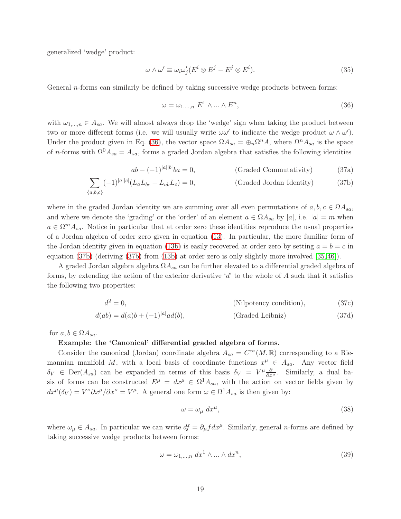generalized 'wedge' product:

$$
\omega \wedge \omega' \equiv \omega_i \omega'_j (E^i \otimes E^j - E^j \otimes E^i). \tag{35}
$$

General *n*-forms can similarly be defined by taking successive wedge products between forms:

<span id="page-18-2"></span><span id="page-18-1"></span><span id="page-18-0"></span>
$$
\omega = \omega_{1,\dots,n} \ E^1 \wedge \dots \wedge E^n,\tag{36}
$$

with  $\omega_{1,\dots,n} \in A_{sa}$ . We will almost always drop the 'wedge' sign when taking the product between two or more different forms (i.e. we will usually write  $\omega \omega'$  to indicate the wedge product  $\omega \wedge \omega'$ ). Under the product given in Eq. [\(36\)](#page-18-0), the vector space  $\Omega A_{sa} = \bigoplus_n \Omega^n A$ , where  $\Omega^n A_{sa}$  is the space of n-forms with  $\Omega^0 A_{sa} = A_{sa}$ , forms a graded Jordan algebra that satisfies the following identities

$$
ab - (-1)^{|a||b|}ba = 0,
$$
 (Graded Commutativity) (37a)

$$
\sum_{\{a,b,c\}} (-1)^{|a||c|} (L_a L_{bc} - L_{ab} L_c) = 0,
$$
 (Graded Jordan Identity) (37b)

where in the graded Jordan identity we are summing over all even permutations of  $a, b, c \in \Omega A_{sa}$ , and where we denote the 'grading' or the 'order' of an element  $a \in \Omega A_{sa}$  by |a|, i.e.  $|a| = m$  when  $a \in \Omega^m A_{sa}$ . Notice in particular that at order zero these identities reproduce the usual properties of a Jordan algebra of order zero given in equation [\(13\)](#page-10-3). In particular, the more familiar form of the Jordan identity given in equation [\(13b\)](#page-10-3) is easily recovered at order zero by setting  $a = b = c$  in equation [\(37b\)](#page-18-1) (deriving [\(37b\)](#page-18-1) from [\(13b\)](#page-10-3) at order zero is only slightly more involved [\[35,](#page-30-9) [46\]](#page-30-7)).

A graded Jordan algebra algebra  $\Omega A_{sa}$  can be further elevated to a differential graded algebra of forms, by extending the action of the exterior derivative  $d'$  to the whole of A such that it satisfies the following two properties:

$$
d^2 = 0,
$$
 (Nilpotency condition), (37c)

$$
d(ab) = d(a)b + (-1)^{|a|}ad(b),
$$
 (Graded Leibniz) (37d)

for  $a, b \in \Omega A_{sa}$ .

### Example: the 'Canonical' differential graded algebra of forms.

Consider the canonical (Jordan) coordinate algebra  $A_{sa} = C^{\infty}(M,\mathbb{R})$  corresponding to a Riemannian manifold M, with a local basis of coordinate functions  $x^{\mu} \in A_{sa}$ . Any vector field  $\delta_V \in \text{Der}(A_{sa})$  can be expanded in terms of this basis  $\delta_V = V^{\mu} \frac{\partial}{\partial x^{\mu}}$ . Similarly, a dual basis of forms can be constructed  $E^{\mu} = dx^{\mu} \in \Omega^{1} A_{sa}$ , with the action on vector fields given by  $dx^{\mu}(\delta_V) = V^{\nu} \partial x^{\mu}/\partial x^{\nu} = V^{\mu}$ . A general one form  $\omega \in \Omega^1 A_{sa}$  is then given by:

<span id="page-18-4"></span><span id="page-18-3"></span>
$$
\omega = \omega_{\mu} dx^{\mu},\tag{38}
$$

where  $\omega_{\mu} \in A_{sa}$ . In particular we can write  $df = \partial_{\mu} f dx^{\mu}$ . Similarly, general *n*-forms are defined by taking successive wedge products between forms:

$$
\omega = \omega_{1,\dots,n} dx^1 \wedge \dots \wedge dx^n,
$$
\n(39)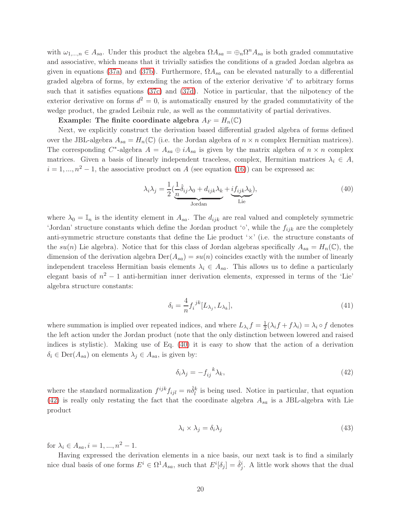with  $\omega_{1,\dots,n} \in A_{sa}$ . Under this product the algebra  $\Omega A_{sa} = \bigoplus_n \Omega^n A_{sa}$  is both graded commutative and associative, which means that it trivially satisfies the conditions of a graded Jordan algebra as given in equations [\(37a\)](#page-18-2) and [\(37b\)](#page-18-1). Furthermore,  $\Omega A_{sa}$  can be elevated naturally to a differential graded algebra of forms, by extending the action of the exterior derivative 'd' to arbitrary forms such that it satisfies equations [\(37c\)](#page-18-3) and [\(37d\)](#page-18-4). Notice in particular, that the nilpotency of the exterior derivative on forms  $d^2 = 0$ , is automatically ensured by the graded commutativity of the wedge product, the graded Leibniz rule, as well as the commutativity of partial derivatives.

Example: The finite coordinate algebra  $A_F = H_n(\mathbb{C})$ 

Next, we explicitly construct the derivation based differential graded algebra of forms defined over the JBL-algebra  $A_{sa} = H_n(\mathbb{C})$  (i.e. the Jordan algebra of  $n \times n$  complex Hermitian matrices). The corresponding  $C^*$ -algebra  $A = A_{sa} \oplus iA_{sa}$  is given by the matrix algebra of  $n \times n$  complex matrices. Given a basis of linearly independent traceless, complex, Hermitian matrices  $\lambda_i \in A$ ,  $i = 1, ..., n^2 - 1$ , the associative product on A (see equation [\(16\)](#page-11-1)) can be expressed as:

<span id="page-19-0"></span>
$$
\lambda_i \lambda_j = \frac{1}{2} \left( \underbrace{\frac{1}{n} \hat{\delta}_{ij} \lambda_0 + d_{ijk} \lambda_k}_{\text{Jordan}} + \underbrace{if_{ijk} \lambda_k}_{\text{Lie}} \right),\tag{40}
$$

where  $\lambda_0 = \mathbb{I}_n$  is the identity element in  $A_{sa}$ . The  $d_{ijk}$  are real valued and completely symmetric 'Jordan' structure constants which define the Jordan product ' $\circ$ ', while the  $f_{ijk}$  are the completely anti-symmetric structure constants that define the Lie product  $\forall x$  (i.e. the structure constants of the su(n) Lie algebra). Notice that for this class of Jordan algebras specifically  $A_{sa} = H_n(\mathbb{C})$ , the dimension of the derivation algebra  $\text{Der}(A_{sa}) = su(n)$  coincides exactly with the number of linearly independent traceless Hermitian basis elements  $\lambda_i \in A_{sa}$ . This allows us to define a particularly elegant basis of  $n^2 - 1$  anti-hermitian inner derivation elements, expressed in terms of the 'Lie' algebra structure constants:

<span id="page-19-2"></span>
$$
\delta_i = \frac{4}{n} f_i^{jk} [L_{\lambda_j}, L_{\lambda_k}], \tag{41}
$$

where summation is implied over repeated indices, and where  $L_{\lambda_i} f = \frac{1}{2}$  $\frac{1}{2}(\lambda_i f + f \lambda_i) = \lambda_i \circ f$  denotes the left action under the Jordan product (note that the only distinction between lowered and raised indices is stylistic). Making use of Eq. [\(40\)](#page-19-0) it is easy to show that the action of a derivation  $\delta_i \in \text{Der}(A_{sa})$  on elements  $\lambda_j \in A_{sa}$ , is given by:

<span id="page-19-1"></span>
$$
\delta_i \lambda_j = -f_{ij}^{\ \ k} \lambda_k,\tag{42}
$$

where the standard normalization  $f^{ijk}f_{ijl} = n\hat{\delta}_l^k$  is being used. Notice in particular, that equation [\(42\)](#page-19-1) is really only restating the fact that the coordinate algebra  $A_{sa}$  is a JBL-algebra with Lie product

$$
\lambda_i \times \lambda_j = \delta_i \lambda_j \tag{43}
$$

for  $\lambda_i \in A_{sa}, i = 1, ..., n^2 - 1$ .

Having expressed the derivation elements in a nice basis, our next task is to find a similarly nice dual basis of one forms  $E^i \in \Omega^1 A_{sa}$ , such that  $E^i[\delta_j] = \hat{\delta}^i_j$ . A little work shows that the dual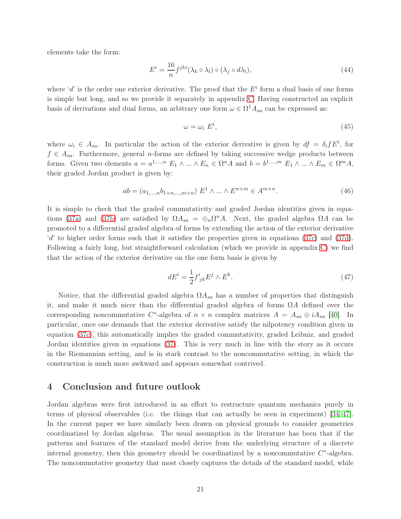elements take the form:

$$
E^{i} = \frac{16}{n} f^{jki} (\lambda_k \circ \lambda_l) \circ (\lambda_j \circ d\lambda_l), \qquad (44)
$$

where 'd' is the order one exterior derivative. The proof that the  $E<sup>i</sup>$  form a dual basis of one forms is simple but long, and so we provide it separately in appendix [C.](#page-24-0) Having constructed an explicit basis of derivations and dual forms, an arbitrary one form  $\omega \in \Omega^1 A_{sa}$  can be expressed as:

<span id="page-20-1"></span>
$$
\omega = \omega_i \ E^i,\tag{45}
$$

where  $\omega_i \in A_{sa}$ . In particular the action of the exterior derivative is given by  $df = \delta_i f E^i$ , for  $f \in A_{sa}$ . Furthermore, general *n*-forms are defined by taking successive wedge products between forms. Given two elements  $a = a^{1,...,n} E_1 \wedge ... \wedge E_n \in \Omega^n A$  and  $b = b^{1,...,m} E_1 \wedge ... \wedge E_m \in \Omega^m A$ , their graded Jordan product is given by:

$$
ab = (a_{1,\dots,n}b_{1+n,\dots,m+n}) E^1 \wedge \dots \wedge E^{n+m} \in A^{m+n}.
$$
 (46)

It is simple to check that the graded commutativity and graded Jordan identities given in equa-tions [\(37a\)](#page-18-2) and [\(37b\)](#page-18-1) are satisfied by  $\Omega A_{sa} = \bigoplus_n \Omega^n A$ . Next, the graded algebra  $\Omega A$  can be promoted to a differential graded algebra of forms by extending the action of the exterior derivative 'd' to higher order forms such that it satisfies the properties given in equations [\(37c\)](#page-18-3) and [\(37d\)](#page-18-4). Following a fairly long, but straightforward calculation (which we provide in appendix [C\)](#page-24-0) we find that the action of the exterior derivative on the one form basis is given by

$$
dE^i = \frac{1}{2} f^i_{\;jk} E^j \wedge E^k. \tag{47}
$$

Notice, that the differential graded algebra  $\Omega A_{sa}$  has a number of properties that distinguish it, and make it much nicer than the differential graded algebra of forms  $\Omega A$  defined over the corresponding noncommutative  $C^*$ -algebra of  $n \times n$  complex matrices  $A = A_{sa} \oplus iA_{sa}$  [\[40\]](#page-30-2). In particular, once one demands that the exterior derivative satisfy the nilpotency condition given in equation [\(37c\)](#page-18-3), this automatically implies the graded commutativity, graded Leibniz, and graded Jordan identities given in equations [\(37\)](#page-18-4). This is very much in line with the story as it occurs in the Riemannian setting, and is in stark contrast to the noncommutative setting, in which the construction is much more awkward and appears somewhat contrived.

# <span id="page-20-0"></span>4 Conclusion and future outlook

Jordan algebras were first introduced in an effort to restructure quantum mechanics purely in terms of physical observables (i.e. the things that can actually be seen in experiment) [\[34,](#page-30-10) [47\]](#page-31-0). In the current paper we have similarly been drawn on physical grounds to consider geometries coordinatized by Jordan algebras. The usual assumption in the literature has been that if the patterns and features of the standard model derive from the underlying structure of a discrete internal geometry, then this geometry should be coordinatized by a noncommutative  $C^*$ -algebra. The noncommutative geometry that most closely captures the details of the standard model, while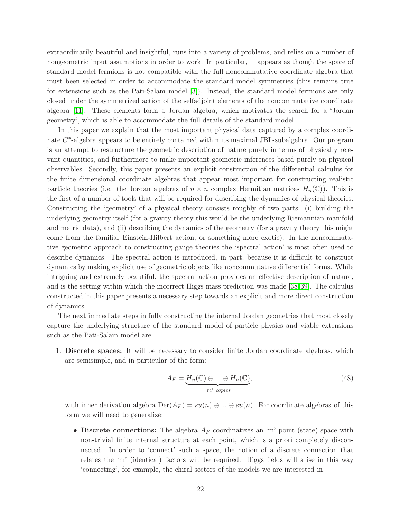extraordinarily beautiful and insightful, runs into a variety of problems, and relies on a number of nongeometric input assumptions in order to work. In particular, it appears as though the space of standard model fermions is not compatible with the full noncommutative coordinate algebra that must been selected in order to accommodate the standard model symmetries (this remains true for extensions such as the Pati-Salam model [\[3\]](#page-28-3)). Instead, the standard model fermions are only closed under the symmetrized action of the selfadjoint elements of the noncommutative coordinate algebra [\[11\]](#page-28-1). These elements form a Jordan algebra, which motivates the search for a 'Jordan geometry', which is able to accommodate the full details of the standard model.

In this paper we explain that the most important physical data captured by a complex coordinate C<sup>\*</sup>-algebra appears to be entirely contained within its maximal JBL-subalgebra. Our program is an attempt to restructure the geometric description of nature purely in terms of physically relevant quantities, and furthermore to make important geometric inferences based purely on physical observables. Secondly, this paper presents an explicit construction of the differential calculus for the finite dimensional coordinate algebras that appear most important for constructing realistic particle theories (i.e. the Jordan algebras of  $n \times n$  complex Hermitian matrices  $H_n(\mathbb{C})$ ). This is the first of a number of tools that will be required for describing the dynamics of physical theories. Constructing the 'geometry' of a physical theory consists roughly of two parts: (i) building the underlying geometry itself (for a gravity theory this would be the underlying Riemannian manifold and metric data), and (ii) describing the dynamics of the geometry (for a gravity theory this might come from the familiar Einstein-Hilbert action, or something more exotic). In the noncommutative geometric approach to constructing gauge theories the 'spectral action' is most often used to describe dynamics. The spectral action is introduced, in part, because it is difficult to construct dynamics by making explicit use of geometric objects like noncommutative differential forms. While intriguing and extremely beautiful, the spectral action provides an effective description of nature, and is the setting within which the incorrect Higgs mass prediction was made [\[38,](#page-30-11)[39\]](#page-30-12). The calculus constructed in this paper presents a necessary step towards an explicit and more direct construction of dynamics.

The next immediate steps in fully constructing the internal Jordan geometries that most closely capture the underlying structure of the standard model of particle physics and viable extensions such as the Pati-Salam model are:

1. Discrete spaces: It will be necessary to consider finite Jordan coordinate algebras, which are semisimple, and in particular of the form:

$$
A_F = \underbrace{H_n(\mathbb{C}) \oplus \dots \oplus H_n(\mathbb{C})}_{m' \text{ copies}},\tag{48}
$$

with inner derivation algebra  $\text{Der}(A_F) = su(n) \oplus ... \oplus su(n)$ . For coordinate algebras of this form we will need to generalize:

• Discrete connections: The algebra  $A_F$  coordinatizes an 'm' point (state) space with non-trivial finite internal structure at each point, which is a priori completely disconnected. In order to 'connect' such a space, the notion of a discrete connection that relates the 'm' (identical) factors will be required. Higgs fields will arise in this way 'connecting', for example, the chiral sectors of the models we are interested in.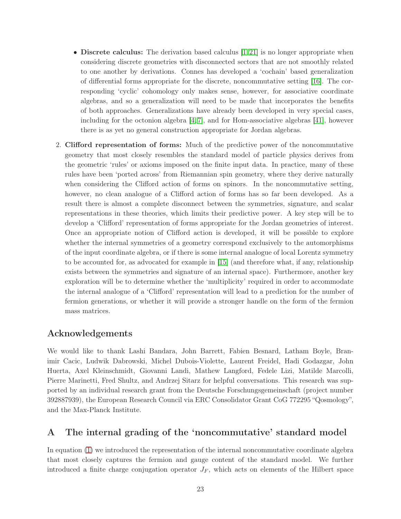- Discrete calculus: The derivation based calculus  $(1, 21)$  is no longer appropriate when considering discrete geometries with disconnected sectors that are not smoothly related to one another by derivations. Connes has developed a 'cochain' based generalization of differential forms appropriate for the discrete, noncommutative setting [\[16\]](#page-29-0). The corresponding 'cyclic' cohomology only makes sense, however, for associative coordinate algebras, and so a generalization will need to be made that incorporates the benefits of both approaches. Generalizations have already been developed in very special cases, including for the octonion algebra [\[4,](#page-28-10) [7\]](#page-28-11), and for Hom-associative algebras [\[41\]](#page-30-13), however there is as yet no general construction appropriate for Jordan algebras.
- 2. Clifford representation of forms: Much of the predictive power of the noncommutative geometry that most closely resembles the standard model of particle physics derives from the geometric 'rules' or axioms imposed on the finite input data. In practice, many of these rules have been 'ported across' from Riemannian spin geometry, where they derive naturally when considering the Clifford action of forms on spinors. In the noncommutative setting, however, no clean analogue of a Clifford action of forms has so far been developed. As a result there is almost a complete disconnect between the symmetries, signature, and scalar representations in these theories, which limits their predictive power. A key step will be to develop a 'Clifford' representation of forms appropriate for the Jordan geometries of interest. Once an appropriate notion of Clifford action is developed, it will be possible to explore whether the internal symmetries of a geometry correspond exclusively to the automorphisms of the input coordinate algebra, or if there is some internal analogue of local Lorentz symmetry to be accounted for, as advocated for example in [\[15\]](#page-29-15) (and therefore what, if any, relationship exists between the symmetries and signature of an internal space). Furthermore, another key exploration will be to determine whether the 'multiplicity' required in order to accommodate the internal analogue of a 'Clifford' representation will lead to a prediction for the number of fermion generations, or whether it will provide a stronger handle on the form of the fermion mass matrices.

# Acknowledgements

We would like to thank Lashi Bandara, John Barrett, Fabien Besnard, Latham Boyle, Branimir Cacic, Ludwik Dabrowski, Michel Dubois-Violette, Laurent Freidel, Hadi Godazgar, John Huerta, Axel Kleinschmidt, Giovanni Landi, Mathew Langford, Fedele Lizi, Matilde Marcolli, Pierre Marinetti, Fred Shultz, and Andrzej Sitarz for helpful conversations. This research was supported by an individual research grant from the Deutsche Forschungsgemeinschaft (project number 392887939), the European Research Council via ERC Consolidator Grant CoG 772295 "Qosmology", and the Max-Planck Institute.

# <span id="page-22-0"></span>A The internal grading of the 'noncommutative' standard model

In equation [\(1\)](#page-5-0) we introduced the representation of the internal noncommutative coordinate algebra that most closely captures the fermion and gauge content of the standard model. We further introduced a finite charge conjugation operator  $J_F$ , which acts on elements of the Hilbert space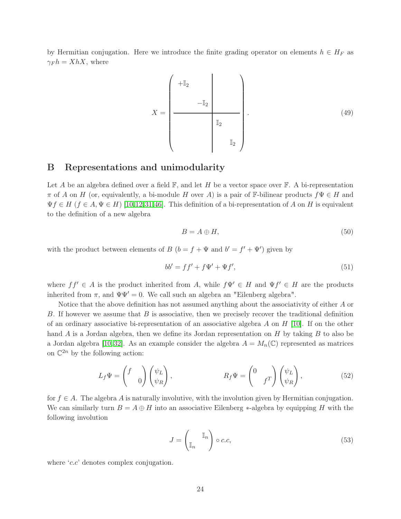by Hermitian conjugation. Here we introduce the finite grading operator on elements  $h \in H_F$  as  $\gamma_F h = X h X$ , where

$$
X = \begin{pmatrix} +\mathbb{I}_2 & & & \\ & -\mathbb{I}_2 & & \\ & & \mathbb{I}_2 & \\ & & & \mathbb{I}_2 & \\ & & & & \mathbb{I}_2 \end{pmatrix} . \tag{49}
$$

# <span id="page-23-0"></span>B Representations and unimodularity

Let A be an algebra defined over a field  $\mathbb{F}$ , and let H be a vector space over  $\mathbb{F}$ . A bi-representation  $\pi$  of A on H (or, equivalently, a bi-module H over A) is a pair of F-bilinear products  $f\Psi \in H$  and  $\Psi f \in H$   $(f \in A, \Psi \in H)$  [\[10,](#page-28-4)[12,](#page-28-7)[31,](#page-30-4)[46\]](#page-30-7). This definition of a bi-representation of A on H is equivalent to the definition of a new algebra

$$
B = A \oplus H,\tag{50}
$$

with the product between elements of  $B(b = f + \Psi \text{ and } b' = f' + \Psi')$  given by

$$
bb' = ff' + f\Psi' + \Psi f',\tag{51}
$$

where  $ff' \in A$  is the product inherited from A, while  $f\Psi' \in H$  and  $\Psi f' \in H$  are the products inherited from  $\pi$ , and  $\Psi\Psi' = 0$ . We call such an algebra an "Eilenberg algebra".

Notice that the above definition has not assumed anything about the associativity of either A or B. If however we assume that B is associative, then we precisely recover the traditional definition of an ordinary associative bi-representation of an associative algebra A on  $H$  [\[10\]](#page-28-4). If on the other hand A is a Jordan algebra, then we define its Jordan representation on H by taking B to also be a Jordan algebra [\[10,](#page-28-4)32]. As an example consider the algebra  $A = M_n(\mathbb{C})$  represented as matrices on  $\mathbb{C}^{2n}$  by the following action:

$$
L_f \Psi = \begin{pmatrix} f \\ 0 \end{pmatrix} \begin{pmatrix} \psi_L \\ \psi_R \end{pmatrix}, \qquad R_f \Psi = \begin{pmatrix} 0 \\ f^T \end{pmatrix} \begin{pmatrix} \psi_L \\ \psi_R \end{pmatrix}, \qquad (52)
$$

for  $f \in A$ . The algebra A is naturally involutive, with the involution given by Hermitian conjugation. We can similarly turn  $B = A \oplus H$  into an associative Eilenberg \*-algebra by equipping H with the following involution

$$
J = \begin{pmatrix} \mathbb{I}_n \\ \mathbb{I}_n \end{pmatrix} \circ c.c,\tag{53}
$$

where '*c.c*' denotes complex conjugation.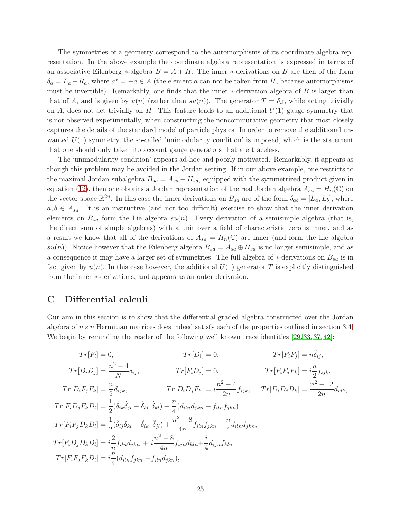The symmetries of a geometry correspond to the automorphisms of its coordinate algebra representation. In the above example the coordinate algebra representation is expressed in terms of an associative Eilenberg  $*$ -algebra  $B = A + H$ . The inner  $*$ -derivations on B are then of the form  $\delta_a = L_a - R_a$ , where  $a^* = -a \in A$  (the element a can not be taken from H, because automorphisms must be invertible). Remarkably, one finds that the inner  $*$ -derivation algebra of B is larger than that of A, and is given by  $u(n)$  (rather than  $su(n)$ ). The generator  $T = \delta_{iI}$ , while acting trivially on A, does not act trivially on H. This feature leads to an additional  $U(1)$  gauge symmetry that is not observed experimentally, when constructing the noncommutative geometry that most closely captures the details of the standard model of particle physics. In order to remove the additional unwanted  $U(1)$  symmetry, the so-called 'unimodularity condition' is imposed, which is the statement that one should only take into account gauge generators that are traceless.

The 'unimodularity condition' appears ad-hoc and poorly motivated. Remarkably, it appears as though this problem may be avoided in the Jordan setting. If in our above example, one restricts to the maximal Jordan subalgebra  $B_{sa} = A_{sa} + H_{sa}$ , equipped with the symmetrized product given in equation [\(12\)](#page-10-4), then one obtains a Jordan representation of the real Jordan algebra  $A_{sa} = H_n(\mathbb{C})$  on the vector space  $\mathbb{R}^{2n}$ . In this case the inner derivations on  $B_{sa}$  are of the form  $\delta_{ab} = [L_a, L_b]$ , where  $a, b \in A_{sa}$ . It is an instructive (and not too difficult) exercise to show that the inner derivation elements on  $B_{sa}$  form the Lie algebra  $su(n)$ . Every derivation of a semisimple algebra (that is, the direct sum of simple algebras) with a unit over a field of characteristic zero is inner, and as a result we know that all of the derivations of  $A_{sa} = H_n(\mathbb{C})$  are inner (and form the Lie algebra  $su(n)$ ). Notice however that the Eilenberg algebra  $B_{sa} = A_{sa} \oplus H_{sa}$  is no longer semisimple, and as a consequence it may have a larger set of symmetries. The full algebra of  $*$ -derivations on  $B_{sa}$  is in fact given by  $u(n)$ . In this case however, the additional  $U(1)$  generator T is explicitly distinguished from the inner ∗-derivations, and appears as an outer derivation.

# <span id="page-24-0"></span>C Differential calculi

Our aim in this section is to show that the differential graded algebra constructed over the Jordan algebra of  $n \times n$  Hermitian matrices does indeed satisfy each of the properties outlined in section [3.4.](#page-16-0) We begin by reminding the reader of the following well known trace identities [\[29,](#page-29-16) [33,](#page-30-14) [37,](#page-30-15) [42\]](#page-30-16):

$$
Tr[F_i] = 0, \t Tr[D_i] = 0, \t Tr[F_iF_j] = n\hat{\delta}_{ij},
$$
  
\n
$$
Tr[D_iD_j] = \frac{n^2 - 4}{N}\delta_{ij}, \t Tr[F_iD_j] = 0, \t Tr[F_iF_jF_k] = i\frac{n}{2}f_{ijk},
$$
  
\n
$$
Tr[D_iF_jF_k] = \frac{n}{2}d_{ijk}, \t Tr[D_iD_jF_k] = i\frac{n^2 - 4}{2n}f_{ijk}, \t Tr[D_iD_jD_k] = \frac{n^2 - 12}{2n}d_{ijk},
$$
  
\n
$$
Tr[F_iD_jF_kD_l] = \frac{1}{2}(\hat{\delta}_{ik}\hat{\delta}_{jl} - \hat{\delta}_{ij}\hat{\delta}_{kl}) + \frac{n}{4}(d_{iln}d_{jkn} + f_{iln}f_{jkn}),
$$
  
\n
$$
Tr[F_iF_jD_kD_l] = \frac{1}{2}(\hat{\delta}_{ij}\hat{\delta}_{kl} - \hat{\delta}_{ik}\hat{\delta}_{jl}) + \frac{n^2 - 8}{4n}f_{iln}f_{jkn} + \frac{n}{4}d_{iln}d_{jkn},
$$
  
\n
$$
Tr[F_iD_jD_kD_l] = i\frac{2}{n}f_{iln}d_{jkn} + i\frac{n^2 - 8}{4n}f_{ijn}d_{kln} + \frac{i}{4}d_{ijn}f_{kln}
$$
  
\n
$$
Tr[F_iF_jF_kD_l] = i\frac{n}{4}(d_{iln}f_{jkn} - f_{iln}d_{jkn}),
$$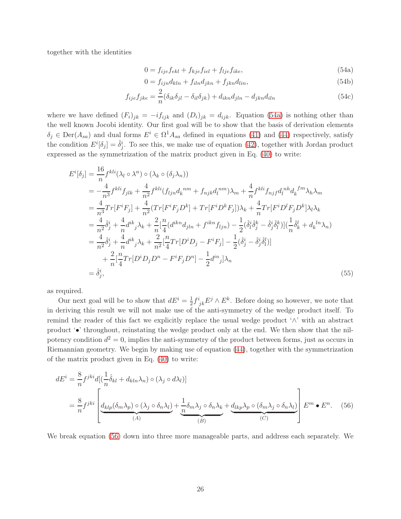together with the identities

<span id="page-25-3"></span><span id="page-25-2"></span><span id="page-25-0"></span>
$$
0 = f_{ije}f_{ekl} + f_{kje}f_{iel} + f_{lje}f_{ike},
$$
\n(54a)

$$
0 = f_{ijn}d_{kln} + f_{iln}d_{jkn} + f_{jkn}d_{lin},
$$
\n(54b)

$$
f_{ije}f_{jke} = \frac{2}{n}(\delta_{ik}\delta_{jl} - \delta_{il}\delta_{jk}) + d_{ikn}d_{jln} - d_{jkn}d_{iln}
$$
\n(54c)

where we have defined  $(F_i)_{jk} = -i f_{ijk}$  and  $(D_i)_{jk} = d_{ijk}$ . Equation [\(54a\)](#page-25-0) is nothing other than the well known Jocobi identity. Our first goal will be to show that the basis of derivation elements  $\delta_j \in \text{Der}(A_{sa})$  and dual forms  $E^i \in \Omega^1 A_{sa}$  defined in equations [\(41\)](#page-19-2) and [\(44\)](#page-20-1) respectively, satisfy the condition  $E^i[\delta_j] = \hat{\delta}_j^i$ . To see this, we make use of equation [\(42\)](#page-19-1), together with Jordan product expressed as the symmetrization of the matrix product given in Eq. [\(40\)](#page-19-0) to write:

$$
E^{i}[\delta_{j}] = \frac{16}{n} f^{kli}(\lambda_{l} \circ \lambda^{n}) \circ (\lambda_{k} \circ (\delta_{j} \lambda_{n}))
$$
  
\n
$$
= -\frac{4}{n^{3}} f^{kli} f_{jlk} + \frac{4}{n^{2}} f^{kli} (f_{ljn} d_{k}^{nm} + f_{njk} d_{l}^{nm}) \lambda_{m} + \frac{4}{n} f^{kli} f_{njj} d_{l}^{nh} d_{k}^{fm} \lambda_{h} \lambda_{m}
$$
  
\n
$$
= \frac{4}{n^{3}} Tr[F^{i}F_{j}] + \frac{4}{n^{2}} (Tr[F^{i}F_{j}D^{k}] + Tr[F^{i}D^{k}F_{j}] ) \lambda_{k} + \frac{4}{n} Tr[F^{i}D^{l}F_{j}D^{k}] \lambda_{l} \lambda_{k}
$$
  
\n
$$
= \frac{4}{n^{2}} \delta_{j}^{i} + \frac{4}{n} d^{ik}{}_{j} \lambda_{k} + \frac{2}{n} [\frac{n}{4} (d^{ikn} d_{jln} + f^{ikn} f_{ljn}) - \frac{1}{2} (\delta_{l}^{i} \delta_{j}^{k} - \delta_{j}^{i} \delta_{l}^{k})] (\frac{1}{n} \delta_{k}^{l} + d_{k}^{ln} \lambda_{n})
$$
  
\n
$$
= \frac{4}{n^{2}} \delta_{j}^{i} + \frac{4}{n} d^{ik}{}_{j} \lambda_{k} + \frac{2}{n^{2}} [\frac{n}{4} Tr[D^{i}D_{j} - F^{i}F_{j}] - \frac{1}{2} (\delta_{j}^{i} - \delta_{j}^{i} \delta_{l}^{l})]
$$
  
\n
$$
+ \frac{2}{n} [\frac{n}{4} Tr[D^{i}D_{j}D^{n} - F^{i}F_{j}D^{n}] - \frac{1}{2} d^{in}{}_{j}] \lambda_{n}
$$
  
\n
$$
= \delta_{j}^{i}, \qquad (55)
$$

as required.

Our next goal will be to show that  $dE^i = \frac{1}{2}$  $\frac{1}{2}f^i_{jk}E^j \wedge E^k$ . Before doing so however, we note that in deriving this result we will not make use of the anti-symmetry of the wedge product itself. To remind the reader of this fact we explicitly replace the usual wedge product '∧' with an abstract product '•' throughout, reinstating the wedge product only at the end. We then show that the nilpotency condition  $d^2 = 0$ , implies the anti-symmetry of the product between forms, just as occurs in Riemannian geometry. We begin by making use of equation [\(44\)](#page-20-1), together with the symmetrization of the matrix product given in Eq. [\(40\)](#page-19-0) to write:

<span id="page-25-1"></span>
$$
dE^{i} = \frac{8}{n} f^{jki} d[(\frac{1}{n}\hat{\delta}_{kl} + d_{kln}\lambda_{n}) \circ (\lambda_{j} \circ d\lambda_{l})]
$$
  

$$
= \frac{8}{n} f^{jki} \left[ \underbrace{d_{klp}(\delta_{m}\lambda_{p}) \circ (\lambda_{j} \circ \delta_{n}\lambda_{l})}_{(A)} + \underbrace{\frac{1}{n}\delta_{m}\lambda_{j} \circ \delta_{n}\lambda_{k}}_{(B)} + \underbrace{d_{lkp}\lambda_{p} \circ (\delta_{m}\lambda_{j} \circ \delta_{n}\lambda_{l})}_{(C)} \right] E^{m} \bullet E^{n}.
$$
 (56)

We break equation [\(56\)](#page-25-1) down into three more manageable parts, and address each separately. We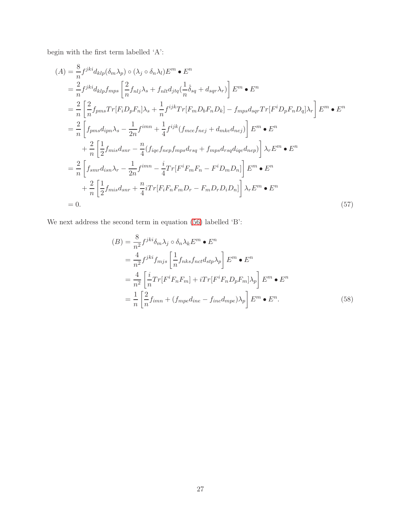begin with the first term labelled 'A':

$$
(A) = \frac{8}{n} f^{jki} d_{klp} (\delta_m \lambda_p) \circ (\lambda_j \circ \delta_n \lambda_l) E^m \bullet E^n
$$
  
\n
$$
= \frac{2}{n} f^{jki} d_{klp} f_{mps} \left[ \frac{2}{n} f_{nlj} \lambda_s + f_{nlt} d_{jtq} (\frac{1}{n} \hat{\delta}_{sq} + d_{sqr} \lambda_r) \right] E^m \bullet E^n
$$
  
\n
$$
= \frac{2}{n} \left[ \frac{2}{n} f_{pms} Tr[F_i D_p F_n] \lambda_s + \frac{1}{n} f^{ijk} Tr[F_m D_b F_n D_k] - f_{mps} d_{sqr} Tr[F^i D_p F_n D_q] \lambda_r \right] E^m \bullet E^n
$$
  
\n
$$
= \frac{2}{n} \left[ f_{pms} d_{ipn} \lambda_s - \frac{1}{2n} f^{imn} + \frac{1}{4} f^{ijk} (f_{mce} f_{nej} + d_{mke} d_{nej}) \right] E^m \bullet E^n
$$
  
\n
$$
+ \frac{2}{n} \left[ \frac{1}{2} f_{mis} d_{snr} - \frac{n}{4} (f_{iqef} f_{nep} f_{mps} d_{rsq} + f_{mps} d_{rsq} d_{iqe} d_{nep}) \right] \lambda_r E^m \bullet E^n
$$
  
\n
$$
= \frac{2}{n} \left[ f_{smr} d_{isn} \lambda_r - \frac{1}{2n} f^{imn} - \frac{i}{4} Tr[F^i F_m F_n - F^i D_m D_n] \right] E^m \bullet E^n
$$
  
\n
$$
+ \frac{2}{n} \left[ \frac{1}{2} f_{mis} d_{snr} + \frac{n}{4} i Tr[F_i F_n F_m D_r - F_m D_r D_i D_n] \right] \lambda_r E^m \bullet E^n
$$
  
\n= 0. (57)

We next address the second term in equation [\(56\)](#page-25-1) labelled 'B':

$$
(B) = \frac{8}{n^2} f^{jki} \delta_m \lambda_j \circ \delta_n \lambda_k E^m \bullet E^n
$$
  
=  $\frac{4}{n^2} f^{jki} f_{mjs} \left[ \frac{1}{n} f_{nks} f_{nct} d_{stp} \lambda_p \right] E^m \bullet E^n$   
=  $\frac{4}{n^2} \left[ \frac{i}{n} Tr[F^i F_n F_m] + i Tr[F^i F_n D_p F_m] \lambda_p \right] E^m \bullet E^n$   
=  $\frac{1}{n} \left[ \frac{2}{n} f_{imn} + (f_{mpe} d_{ine} - f_{ine} d_{mpe}) \lambda_p \right] E^m \bullet E^n.$  (58)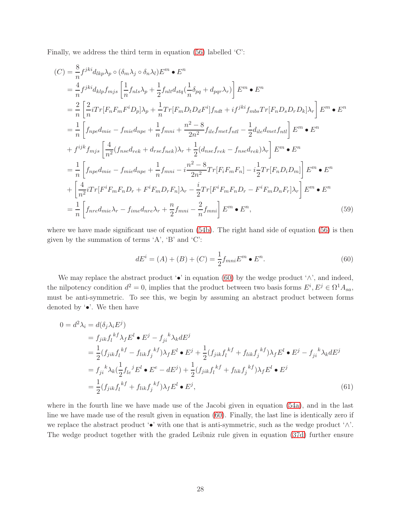Finally, we address the third term in equation [\(56\)](#page-25-1) labelled 'C':

$$
(C) = \frac{8}{n} f^{jki} d_{lkp} \lambda_p \circ (\delta_m \lambda_j \circ \delta_n \lambda_l) E^m \bullet E^n
$$
  
\n
$$
= \frac{4}{n} f^{jki} d_{klp} f_{mjs} \left[ \frac{1}{n} f_{nls} \lambda_p + \frac{1}{2} f_{nlt} d_{stq} (\frac{1}{n} \delta_{pq} + d_{pqr} \lambda_r) \right] E^m \bullet E^n
$$
  
\n
$$
= \frac{2}{n} \left[ \frac{2}{n} i Tr[F_n F_m F^i D_p] \lambda_p + \frac{1}{n} Tr[F_m D_t D_d F^i] f_{ndt} + i f^{jki} f_{mbs} Tr[F_n D_s D_r D_k] \lambda_r \right] E^m \bullet E^n
$$
  
\n
$$
= \frac{1}{n} \left[ f_{npe} d_{mie} - f_{mie} d_{npe} + \frac{1}{n} f_{mni} + \frac{n^2 - 8}{2n^2} f_{ile} f_{met} f_{ntl} - \frac{1}{2} d_{ile} d_{met} f_{ntl} \right] E^m \bullet E^n
$$
  
\n
$$
+ f^{ijk} f_{mjs} \left[ \frac{4}{n^2} (f_{nse} d_{rek} + d_{rse} f_{nek}) \lambda_r + \frac{1}{2} (d_{nse} f_{rek} - f_{nse} d_{rek}) \lambda_r \right] E^m \bullet E^n
$$
  
\n
$$
= \frac{1}{n} \left[ f_{npe} d_{mie} - f_{mie} d_{npe} + \frac{1}{n} f_{mni} - i \frac{n^2 - 8}{2n^2} Tr[F_i F_m F_n] - i \frac{1}{2} Tr[F_n D_i D_m] \right] E^m \bullet E^n
$$
  
\n
$$
+ \left[ \frac{4}{n^2} i Tr[F^i F_m F_n D_r + F^i F_m D_r F_n] \lambda_r - \frac{i}{2} Tr[F^i F_m F_n D_r - F^i F_m D_n F_r] \lambda_r \right] E^m \bullet E^n
$$
  
\n
$$
= \frac{1}{n} \left[ f_{nre} d_{mie} \lambda_r - f_{imel} d_{nre} \lambda_r + \frac{n}{2} f_{mni} - \frac{2}{n} f_{mni} \right] E^m \bullet E^n,
$$

where we have made significant use of equation [\(54b\)](#page-25-2). The right hand side of equation [\(56\)](#page-25-1) is then given by the summation of terms  $A$ ,  $B$  and  $C$ :

<span id="page-27-0"></span>
$$
dE^{i} = (A) + (B) + (C) = \frac{1}{2} f_{mni} E^{m} \bullet E^{n}.
$$
 (60)

We may replace the abstract product ' $\bullet$ ' in equation [\(60\)](#page-27-0) by the wedge product ' $\wedge$ ', and indeed, the nilpotency condition  $d^2 = 0$ , implies that the product between two basis forms  $E^i, E^j \in \Omega^1 A_{sa}$ , must be anti-symmetric. To see this, we begin by assuming an abstract product between forms denoted by '•'. We then have

$$
0 = d^{2} \lambda_{i} = d(\delta_{j} \lambda_{i} E^{j})
$$
  
\n
$$
= f_{jik} f_{l}^{kf} \lambda_{f} E^{l} \bullet E^{j} - f_{ji}^{k} \lambda_{k} dE^{j}
$$
  
\n
$$
= \frac{1}{2} (f_{jik} f_{l}^{kf} - f_{lik} f_{j}^{kf}) \lambda_{f} E^{l} \bullet E^{j} + \frac{1}{2} (f_{jik} f_{l}^{kf} + f_{lik} f_{j}^{kf}) \lambda_{f} E^{l} \bullet E^{j} - f_{ji}^{k} \lambda_{k} dE^{j}
$$
  
\n
$$
= f_{ji}^{k} \lambda_{k} (\frac{1}{2} f_{le}^{j} E^{l} \bullet E^{e} - dE^{j}) + \frac{1}{2} (f_{jik} f_{l}^{kf} + f_{lik} f_{j}^{kf}) \lambda_{f} E^{l} \bullet E^{j}
$$
  
\n
$$
= \frac{1}{2} (f_{jik} f_{l}^{kf} + f_{lik} f_{j}^{kf}) \lambda_{f} E^{l} \bullet E^{j}, \qquad (61)
$$

where in the fourth line we have made use of the Jacobi given in equation [\(54a\)](#page-25-0), and in the last line we have made use of the result given in equation [\(60\)](#page-27-0). Finally, the last line is identically zero if we replace the abstract product '•' with one that is anti-symmetric, such as the wedge product '∧'. The wedge product together with the graded Leibniz rule given in equation [\(37d\)](#page-18-4) further ensure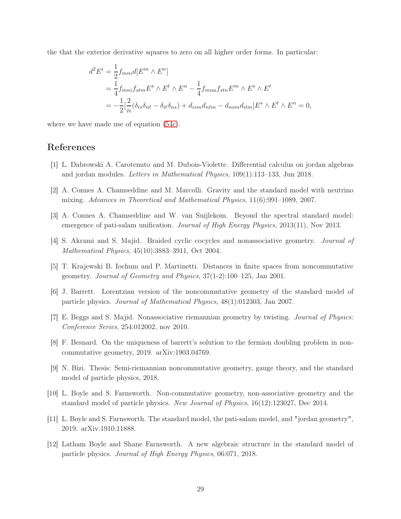the that the exterior derivative squares to zero on all higher order forms. In particular:

$$
d^2 E^i = \frac{1}{2} f_{mni} d[E^m \wedge E^n]
$$
  
=  $\frac{1}{4} f_{mni} f_{stm} E^s \wedge E^t \wedge E^n - \frac{1}{4} f_{mna} f_{stn} E^m \wedge E^s \wedge E^t$   
=  $-\frac{1}{2} [\frac{2}{n} (\delta_{is} \delta_{nt} - \delta_{it} \delta_{ns}) + d_{ism} d_{ntm} - d_{nsm} d_{itm}] E^s \wedge E^t \wedge E^n = 0,$ 

where we have made use of equation [\(54c\)](#page-25-3).

# <span id="page-28-8"></span>References

- <span id="page-28-0"></span>[1] L. Dabrowski A. Carotenuto and M. Dubois-Violette. Differential calculus on jordan algebras and jordan modules. Letters in Mathematical Physics, 109(1):113–133, Jun 2018.
- <span id="page-28-3"></span>[2] A. Connes A. Chamseddine and M. Marcolli. Gravity and the standard model with neutrino mixing. Advances in Theoretical and Mathematical Physics, 11(6):991–1089, 2007.
- <span id="page-28-10"></span>[3] A. Connes A. Chamseddine and W. van Suijlekom. Beyond the spectral standard model: emergence of pati-salam unification. Journal of High Energy Physics, 2013(11), Nov 2013.
- <span id="page-28-9"></span>[4] S. Akrami and S. Majid. Braided cyclic cocycles and nonassociative geometry. Journal of Mathematical Physics, 45(10):3883–3911, Oct 2004.
- <span id="page-28-2"></span>[5] T. Krajewski B. Iochum and P. Martinetti. Distances in finite spaces from noncommutative geometry. Journal of Geometry and Physics, 37(1-2):100–125, Jan 2001.
- <span id="page-28-11"></span>[6] J. Barrett. Lorentzian version of the noncommutative geometry of the standard model of particle physics. Journal of Mathematical Physics, 48(1):012303, Jan 2007.
- <span id="page-28-5"></span>[7] E. Beggs and S. Majid. Nonassociative riemannian geometry by twisting. Journal of Physics: Conference Series, 254:012002, nov 2010.
- <span id="page-28-6"></span>[8] F. Besnard. On the uniqueness of barrett's solution to the fermion doubling problem in noncommutative geometry, 2019. arXiv:1903.04769.
- <span id="page-28-4"></span>[9] N. Bizi. Thesis: Semi-riemannian noncommutative geometry, gauge theory, and the standard model of particle physics, 2018.
- <span id="page-28-1"></span>[10] L. Boyle and S. Farnsworth. Non-commutative geometry, non-associative geometry and the standard model of particle physics. New Journal of Physics, 16(12):123027, Dec 2014.
- <span id="page-28-7"></span>[11] L. Boyle and S. Farnsworth. The standard model, the pati-salam model, and "jordan geometry", 2019. arXiv:1910.11888.
- [12] Latham Boyle and Shane Farnsworth. A new algebraic structure in the standard model of particle physics. Journal of High Energy Physics, 06:071, 2018.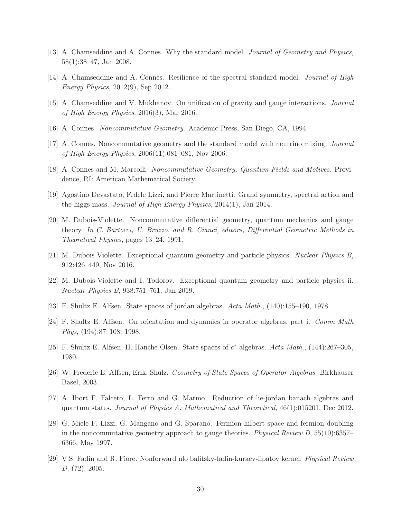- <span id="page-29-2"></span><span id="page-29-1"></span>[13] A. Chamseddine and A. Connes. Why the standard model. Journal of Geometry and Physics, 58(1):38–47, Jan 2008.
- <span id="page-29-15"></span>[14] A. Chamseddine and A. Connes. Resilience of the spectral standard model. Journal of High Energy Physics, 2012(9), Sep 2012.
- <span id="page-29-0"></span>[15] A. Chamseddine and V. Mukhanov. On unification of gravity and gauge interactions. Journal of High Energy Physics, 2016(3), Mar 2016.
- <span id="page-29-6"></span>[16] A. Connes. Noncommutative Geometry. Academic Press, San Diego, CA, 1994.
- <span id="page-29-13"></span>[17] A. Connes. Noncommutative geometry and the standard model with neutrino mixing. Journal of High Energy Physics, 2006(11):081–081, Nov 2006.
- <span id="page-29-4"></span>[18] A. Connes and M. Marcolli. Noncommutative Geometry, Quantum Fields and Motives. Providence, RI: American Mathematical Society.
- <span id="page-29-14"></span>[19] Agostino Devastato, Fedele Lizzi, and Pierre Martinetti. Grand symmetry, spectral action and the higgs mass. Journal of High Energy Physics, 2014(1), Jan 2014.
- [20] M. Dubois-Violette. Noncommutative differential geometry, quantum mechanics and gauge theory. In C. Bartocci, U. Bruzzo, and R. Cianci, editors, Differential Geometric Methods in Theoretical Physics, pages 13–24, 1991.
- <span id="page-29-10"></span><span id="page-29-5"></span>[21] M. Dubois-Violette. Exceptional quantum geometry and particle physics. Nuclear Physics B, 912:426–449, Nov 2016.
- <span id="page-29-11"></span>[22] M. Dubois-Violette and I. Todorov. Exceptional quantum geometry and particle physics ii. Nuclear Physics B, 938:751–761, Jan 2019.
- <span id="page-29-8"></span>[23] F. Shultz E. Alfsen. State spaces of jordan algebras. Acta Math., (140):155–190, 1978.
- <span id="page-29-12"></span>[24] F. Shultz E. Alfsen. On orientation and dynamics in operator algebras. part i. Comm Math Phys, (194):87–108, 1998.
- <span id="page-29-9"></span>[25] F. Shultz E. Alfsen, H. Hanche-Olsen. State spaces of  $c^*$ -algebras. Acta Math., (144):267–305, 1980.
- <span id="page-29-7"></span>[26] W. Frederic E. Alfsen, Erik. Shulz. Geometry of State Spaces of Operator Algebras. Birkhauser Basel, 2003.
- <span id="page-29-3"></span>[27] A. Ibort F. Falceto, L. Ferro and G. Marmo. Reduction of lie-jordan banach algebras and quantum states. Journal of Physics A: Mathematical and Theoretical, 46(1):015201, Dec 2012.
- [28] G. Miele F. Lizzi, G. Mangano and G. Sparano. Fermion hilbert space and fermion doubling in the noncommutative geometry approach to gauge theories. Physical Review  $D$ , 55(10):6357– 6366, May 1997.
- <span id="page-29-16"></span>[29] V.S. Fadin and R. Fiore. Nonforward nlo balitsky-fadin-kuraev-lipatov kernel. Physical Review D, (72), 2005.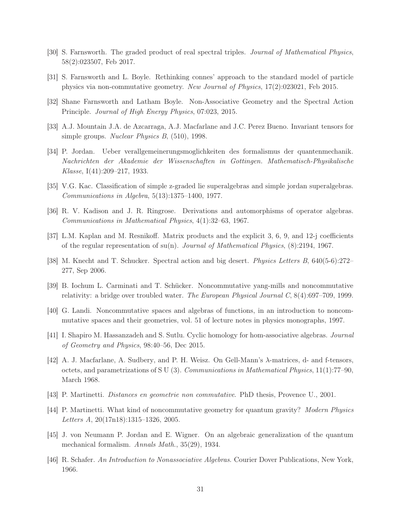- <span id="page-30-4"></span><span id="page-30-1"></span>[30] S. Farnsworth. The graded product of real spectral triples. Journal of Mathematical Physics, 58(2):023507, Feb 2017.
- <span id="page-30-0"></span>[31] S. Farnsworth and L. Boyle. Rethinking connes' approach to the standard model of particle physics via non-commutative geometry. New Journal of Physics, 17(2):023021, Feb 2015.
- <span id="page-30-14"></span>[32] Shane Farnsworth and Latham Boyle. Non-Associative Geometry and the Spectral Action Principle. Journal of High Energy Physics, 07:023, 2015.
- <span id="page-30-10"></span>[33] A.J. Mountain J.A. de Azcarraga, A.J. Macfarlane and J.C. Perez Bueno. Invariant tensors for simple groups. Nuclear Physics B, (510), 1998.
- [34] P. Jordan. Ueber verallgemeinerungsmoglichkeiten des formalismus der quantenmechanik. Nachrichten der Akademie der Wissenschaften in Gottingen. Mathematisch-Physikalische Klasse, I(41):209–217, 1933.
- <span id="page-30-9"></span><span id="page-30-8"></span>[35] V.G. Kac. Classification of simple z-graded lie superalgebras and simple jordan superalgebras. Communications in Algebra, 5(13):1375–1400, 1977.
- <span id="page-30-15"></span>[36] R. V. Kadison and J. R. Ringrose. Derivations and automorphisms of operator algebras. Communications in Mathematical Physics, 4(1):32–63, 1967.
- <span id="page-30-11"></span>[37] L.M. Kaplan and M. Resnikoff. Matrix products and the explicit 3, 6, 9, and 12-j coefficients of the regular representation of  $su(n)$ . Journal of Mathematical Physics,  $(8)$ :2194, 1967.
- <span id="page-30-12"></span>[38] M. Knecht and T. Schucker. Spectral action and big desert. Physics Letters B, 640(5-6):272– 277, Sep 2006.
- <span id="page-30-2"></span>[39] B. Iochum L. Carminati and T. Schücker. Noncommutative yang-mills and noncommutative relativity: a bridge over troubled water. The European Physical Journal C, 8(4):697–709, 1999.
- <span id="page-30-13"></span>[40] G. Landi. Noncommutative spaces and algebras of functions, in an introduction to noncommutative spaces and their geometries, vol. 51 of lecture notes in physics monographs, 1997.
- <span id="page-30-16"></span>[41] I. Shapiro M. Hassanzadeh and S. Sutlu. Cyclic homology for hom-associative algebras. Journal of Geometry and Physics, 98:40–56, Dec 2015.
- [42] A. J. Macfarlane, A. Sudbery, and P. H. Weisz. On Gell-Mann's λ-matrices, d- and f-tensors, octets, and parametrizations of S U (3). Communications in Mathematical Physics, 11(1):77–90, March 1968.
- <span id="page-30-6"></span><span id="page-30-3"></span>[43] P. Martinetti. Distances en geometrie non commutative. PhD thesis, Provence U., 2001.
- <span id="page-30-5"></span>[44] P. Martinetti. What kind of noncommutative geometry for quantum gravity? Modern Physics Letters A, 20(17n18):1315–1326, 2005.
- <span id="page-30-7"></span>[45] J. von Neumann P. Jordan and E. Wigner. On an algebraic generalization of the quantum mechanical formalism. Annals Math., 35(29), 1934.
- [46] R. Schafer. An Introduction to Nonassociative Algebras. Courier Dover Publications, New York, 1966.